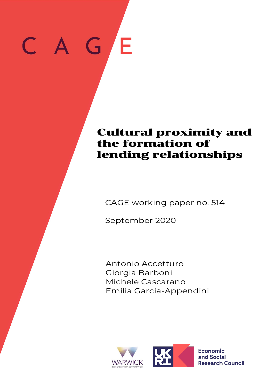# $\mathsf C^ \overline{\mathbf{J}}$ **E**

# Cultural proximity and the formation of lending relationships

CAGE working paper no. 514

September 2020

Antonio Accetturo Giorgia Barboni Michele Cascarano Emilia Garcia-Appendini



**Economic** and Social **Research Council**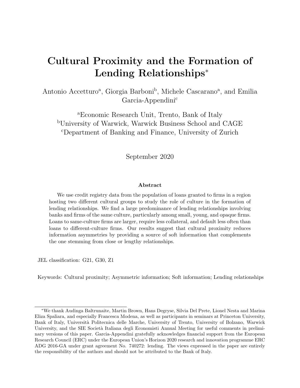# Cultural Proximity and the Formation of Lending Relationships<sup>∗</sup>

Antonio Accetturo<sup>a</sup>, Giorgia Barboni<sup>b</sup>, Michele Cascarano<sup>a</sup>, and Emilia Garcia-Appendini<sup>c</sup>

<sup>a</sup>Economic Research Unit, Trento, Bank of Italy <sup>b</sup>University of Warwick, Warwick Business School and CAGE <sup>c</sup>Department of Banking and Finance, University of Zurich

September 2020

#### Abstract

We use credit registry data from the population of loans granted to firms in a region hosting two different cultural groups to study the role of culture in the formation of lending relationships. We find a large predominance of lending relationships involving banks and firms of the same culture, particularly among small, young, and opaque firms. Loans to same-culture firms are larger, require less collateral, and default less often than loans to different-culture firms. Our results suggest that cultural proximity reduces information asymmetries by providing a source of soft information that complements the one stemming from close or lengthy relationships.

JEL classification: G21, G30, Z1

Keywords: Cultural proximity; Asymmetric information; Soft information; Lending relationships

<sup>∗</sup>We thank Audinga Baltrunaite, Martin Brown, Hans Degryse, Silvia Del Prete, Lionel Nesta and Marina Eliza Spaliara, and especially Francesca Modena, as well as participants in seminars at Princeton University, Bank of Italy, Università Politecnica delle Marche, University of Trento, University of Bolzano, Warwick University, and the SIE Società Italiana degli Economisti Annual Meeting for useful comments in preliminary versions of this paper. Garcia-Appendini gratefully acknowledges financial support from the European Research Council (ERC) under the European Union's Horizon 2020 research and innovation programme ERC ADG 2016-GA under grant agreement No. 740272: lending. The views expressed in the paper are entirely the responsibility of the authors and should not be attributed to the Bank of Italy.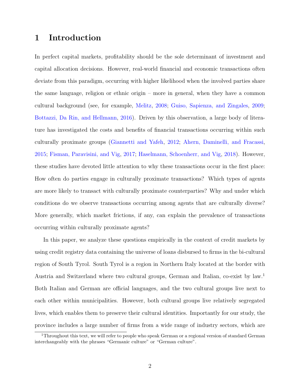### 1 Introduction

In perfect capital markets, profitability should be the sole determinant of investment and capital allocation decisions. However, real-world financial and economic transactions often deviate from this paradigm, occurring with higher likelihood when the involved parties share the same language, religion or ethnic origin – more in general, when they have a common cultural background (see, for example, [Melitz,](#page-35-0) [2008;](#page-35-0) [Guiso, Sapienza, and Zingales,](#page-35-1) [2009;](#page-35-1) [Bottazzi, Da Rin, and Hellmann,](#page-33-0) [2016\)](#page-33-0). Driven by this observation, a large body of literature has investigated the costs and benefits of financial transactions occurring within such culturally proximate groups [\(Giannetti and Yafeh,](#page-34-0) [2012;](#page-34-0) [Ahern, Daminelli, and Fracassi,](#page-32-0) [2015;](#page-32-0) [Fisman, Paravisini, and Vig,](#page-34-1) [2017;](#page-34-1) [Haselmann, Schoenherr, and Vig,](#page-35-2) [2018\)](#page-35-2). However, these studies have devoted little attention to why these transactions occur in the first place: How often do parties engage in culturally proximate transactions? Which types of agents are more likely to transact with culturally proximate counterparties? Why and under which conditions do we observe transactions occurring among agents that are culturally diverse? More generally, which market frictions, if any, can explain the prevalence of transactions occurring within culturally proximate agents?

In this paper, we analyze these questions empirically in the context of credit markets by using credit registry data containing the universe of loans disbursed to firms in the bi-cultural region of South Tyrol. South Tyrol is a region in Northern Italy located at the border with Austria and Switzerland where two cultural groups, German and Italian, co-exist by law.<sup>1</sup> Both Italian and German are official languages, and the two cultural groups live next to each other within municipalities. However, both cultural groups live relatively segregated lives, which enables them to preserve their cultural identities. Importantly for our study, the province includes a large number of firms from a wide range of industry sectors, which are

<sup>&</sup>lt;sup>1</sup>Throughout this text, we will refer to people who speak German or a regional version of standard German interchangeably with the phrases "Germanic culture" or "German culture".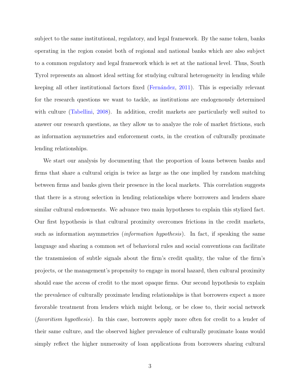subject to the same institutional, regulatory, and legal framework. By the same token, banks operating in the region consist both of regional and national banks which are also subject to a common regulatory and legal framework which is set at the national level. Thus, South Tyrol represents an almost ideal setting for studying cultural heterogeneity in lending while keeping all other institutional factors fixed (Fernández, [2011\)](#page-34-2). This is especially relevant for the research questions we want to tackle, as institutions are endogenously determined with culture [\(Tabellini,](#page-36-0) [2008\)](#page-36-0). In addition, credit markets are particularly well suited to answer our research questions, as they allow us to analyze the role of market frictions, such as information asymmetries and enforcement costs, in the creation of culturally proximate lending relationships.

We start our analysis by documenting that the proportion of loans between banks and firms that share a cultural origin is twice as large as the one implied by random matching between firms and banks given their presence in the local markets. This correlation suggests that there is a strong selection in lending relationships where borrowers and lenders share similar cultural endowments. We advance two main hypotheses to explain this stylized fact. Our first hypothesis is that cultural proximity overcomes frictions in the credit markets, such as information asymmetries *(information hypothesis)*. In fact, if speaking the same language and sharing a common set of behavioral rules and social conventions can facilitate the transmission of subtle signals about the firm's credit quality, the value of the firm's projects, or the management's propensity to engage in moral hazard, then cultural proximity should ease the access of credit to the most opaque firms. Our second hypothesis to explain the prevalence of culturally proximate lending relationships is that borrowers expect a more favorable treatment from lenders which might belong, or be close to, their social network (favoritism hypothesis). In this case, borrowers apply more often for credit to a lender of their same culture, and the observed higher prevalence of culturally proximate loans would simply reflect the higher numerosity of loan applications from borrowers sharing cultural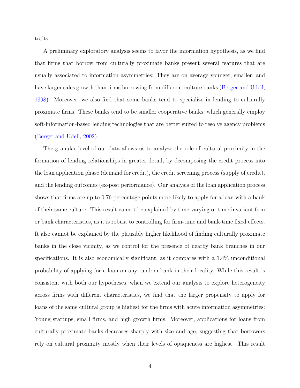traits.

A preliminary exploratory analysis seems to favor the information hypothesis, as we find that firms that borrow from culturally proximate banks present several features that are usually associated to information asymmetries: They are on average younger, smaller, and have larger sales growth than firms borrowing from different-culture banks [\(Berger and Udell,](#page-32-1) [1998\)](#page-32-1). Moreover, we also find that some banks tend to specialize in lending to culturally proximate firms. These banks tend to be smaller cooperative banks, which generally employ soft-information-based lending technologies that are better suited to resolve agency problems [\(Berger and Udell,](#page-33-1) [2002\)](#page-33-1).

The granular level of our data allows us to analyze the role of cultural proximity in the formation of lending relationships in greater detail, by decomposing the credit process into the loan application phase (demand for credit), the credit screening process (supply of credit), and the lending outcomes (ex-post performance). Our analysis of the loan application process shows that firms are up to 0.76 percentage points more likely to apply for a loan with a bank of their same culture. This result cannot be explained by time-varying or time-invariant firm or bank characteristics, as it is robust to controlling for firm-time and bank-time fixed effects. It also cannot be explained by the plausibly higher likelihood of finding culturally proximate banks in the close vicinity, as we control for the presence of nearby bank branches in our specifications. It is also economically significant, as it compares with a 1.4% unconditional probability of applying for a loan on any random bank in their locality. While this result is consistent with both our hypotheses, when we extend our analysis to explore heterogeneity across firms with different characteristics, we find that the larger propensity to apply for loans of the same cultural group is highest for the firms with acute information asymmetries: Young startups, small firms, and high growth firms. Moreover, applications for loans from culturally proximate banks decreases sharply with size and age, suggesting that borrowers rely on cultural proximity mostly when their levels of opaqueness are highest. This result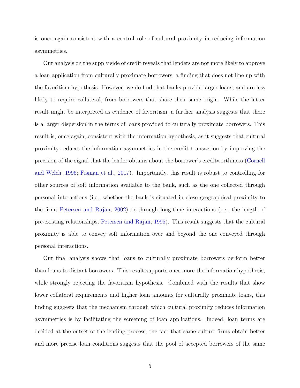is once again consistent with a central role of cultural proximity in reducing information asymmetries.

Our analysis on the supply side of credit reveals that lenders are not more likely to approve a loan application from culturally proximate borrowers, a finding that does not line up with the favoritism hypothesis. However, we do find that banks provide larger loans, and are less likely to require collateral, from borrowers that share their same origin. While the latter result might be interpreted as evidence of favoritism, a further analysis suggests that there is a larger dispersion in the terms of loans provided to culturally proximate borrowers. This result is, once again, consistent with the information hypothesis, as it suggests that cultural proximity reduces the information asymmetries in the credit transaction by improving the precision of the signal that the lender obtains about the borrower's creditworthiness [\(Cornell](#page-33-2) [and Welch,](#page-33-2) [1996;](#page-33-2) [Fisman et al.,](#page-34-1) [2017\)](#page-34-1). Importantly, this result is robust to controlling for other sources of soft information available to the bank, such as the one collected through personal interactions (i.e., whether the bank is situated in close geographical proximity to the firm; [Petersen and Rajan,](#page-35-3) [2002\)](#page-35-3) or through long-time interactions (i.e., the length of pre-existing relationships, [Petersen and Rajan,](#page-35-4) [1995\)](#page-35-4). This result suggests that the cultural proximity is able to convey soft information over and beyond the one conveyed through personal interactions.

Our final analysis shows that loans to culturally proximate borrowers perform better than loans to distant borrowers. This result supports once more the information hypothesis, while strongly rejecting the favoritism hypothesis. Combined with the results that show lower collateral requirements and higher loan amounts for culturally proximate loans, this finding suggests that the mechanism through which cultural proximity reduces information asymmetries is by facilitating the screening of loan applications. Indeed, loan terms are decided at the outset of the lending process; the fact that same-culture firms obtain better and more precise loan conditions suggests that the pool of accepted borrowers of the same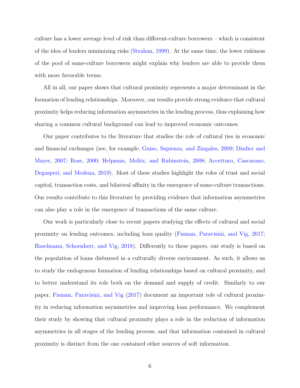culture has a lower average level of risk than different-culture borrowers – which is consistent of the idea of lenders minimizing risks [\(Strahan,](#page-36-1) [1999\)](#page-36-1). At the same time, the lower riskiness of the pool of same-culture borrowers might explain why lenders are able to provide them with more favorable terms.

All in all, our paper shows that cultural proximity represents a major determinant in the formation of lending relationships. Moreover, our results provide strong evidence that cultural proximity helps reducing information asymmetries in the lending process, thus explaining how sharing a common cultural background can lead to improved economic outcomes.

Our paper contributes to the literature that studies the role of cultural ties in economic and financial exchanges (see, for example, [Guiso, Sapienza, and Zingales,](#page-35-1) [2009;](#page-35-1) [Disdier and](#page-34-3) [Mayer,](#page-34-3) [2007;](#page-34-3) [Rose,](#page-35-5) [2000;](#page-35-5) [Helpman, Melitz, and Rubinstein,](#page-35-6) [2008;](#page-35-6) [Accetturo, Cascarano,](#page-32-2) [Degasperi, and Modena,](#page-32-2) [2019\)](#page-32-2). Most of these studies highlight the roles of trust and social capital, transaction costs, and bilateral affinity in the emergence of same-culture transactions. Our results contribute to this literature by providing evidence that information asymmetries can also play a role in the emergence of transactions of the same culture.

Our work is particularly close to recent papers studying the effects of cultural and social proximity on lending outcomes, including loan quality [\(Fisman, Paravisini, and Vig,](#page-34-1) [2017;](#page-34-1) [Haselmann, Schoenherr, and Vig,](#page-35-2) [2018\)](#page-35-2). Differently to these papers, our study is based on the population of loans disbursed in a culturally diverse environment. As such, it allows us to study the endogenous formation of lending relationships based on cultural proximity, and to better understand its role both on the demand and supply of credit. Similarly to our paper, [Fisman, Paravisini, and Vig](#page-34-1) [\(2017\)](#page-34-1) document an important role of cultural proximity in reducing information asymmetries and improving loan performance. We complement their study by showing that cultural proximity plays a role in the reduction of information asymmetries in all stages of the lending process, and that information contained in cultural proximity is distinct from the one contained other sources of soft information.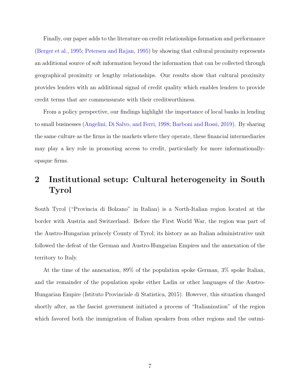Finally, our paper adds to the literature on credit relationships formation and performance [\(Berger et al.,](#page-33-3) [1995;](#page-33-3) [Petersen and Rajan,](#page-35-4) [1995\)](#page-35-4) by showing that cultural proximity represents an additional source of soft information beyond the information that can be collected through geographical proximity or lengthy relationships. Our results show that cultural proximity provides lenders with an additional signal of credit quality which enables lenders to provide credit terms that are commensurate with their creditworthiness.

From a policy perspective, our findings highlight the importance of local banks in lending to small businesses [\(Angelini, Di Salvo, and Ferri,](#page-32-3) [1998;](#page-32-3) [Barboni and Rossi,](#page-32-4) [2019\)](#page-32-4). By sharing the same culture as the firms in the markets where they operate, these financial intermediaries may play a key role in promoting access to credit, particularly for more informationallyopaque firms.

# 2 Institutional setup: Cultural heterogeneity in South Tyrol

South Tyrol ("Provincia di Bolzano" in Italian) is a North-Italian region located at the border with Austria and Switzerland. Before the First World War, the region was part of the Austro-Hungarian princely County of Tyrol; its history as an Italian administrative unit followed the defeat of the German and Austro-Hungarian Empires and the annexation of the territory to Italy.

At the time of the annexation, 89% of the population spoke German, 3% spoke Italian, and the remainder of the population spoke either Ladin or other languages of the Austro-Hungarian Empire (Istituto Provinciale di Statistica, 2015). However, this situation changed shortly after, as the fascist government initiated a process of "Italianization" of the region which favored both the immigration of Italian speakers from other regions and the outmi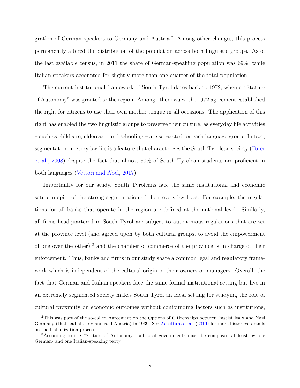gration of German speakers to Germany and Austria.<sup>2</sup> Among other changes, this process permanently altered the distribution of the population across both linguistic groups. As of the last available census, in 2011 the share of German-speaking population was 69%, while Italian speakers accounted for slightly more than one-quarter of the total population.

The current institutional framework of South Tyrol dates back to 1972, when a "Statute of Autonomy" was granted to the region. Among other issues, the 1972 agreement established the right for citizens to use their own mother tongue in all occasions. The application of this right has enabled the two linguistic groups to preserve their culture, as everyday life activities – such as childcare, eldercare, and schooling – are separated for each language group. In fact, segmentation in everyday life is a feature that characterizes the South Tyrolean society [\(Forer](#page-34-4) [et al.,](#page-34-4) [2008\)](#page-34-4) despite the fact that almost 80% of South Tyrolean students are proficient in both languages [\(Vettori and Abel,](#page-36-2) [2017\)](#page-36-2).

Importantly for our study, South Tyroleans face the same institutional and economic setup in spite of the strong segmentation of their everyday lives. For example, the regulations for all banks that operate in the region are defined at the national level. Similarly, all firms headquartered in South Tyrol are subject to autonomous regulations that are set at the province level (and agreed upon by both cultural groups, to avoid the empowerment of one over the other),<sup>3</sup> and the chamber of commerce of the province is in charge of their enforcement. Thus, banks and firms in our study share a common legal and regulatory framework which is independent of the cultural origin of their owners or managers. Overall, the fact that German and Italian speakers face the same formal institutional setting but live in an extremely segmented society makes South Tyrol an ideal setting for studying the role of cultural proximity on economic outcomes without confounding factors such as institutions,

<sup>2</sup>This was part of the so-called Agreement on the Options of Citizenships between Fascist Italy and Nazi Germany (that had already annexed Austria) in 1939. See [Accetturo et al.](#page-32-2) [\(2019\)](#page-32-2) for more historical details on the Italianization process.

<sup>3</sup>According to the "Statute of Autonomy", all local governments must be composed at least by one German- and one Italian-speaking party.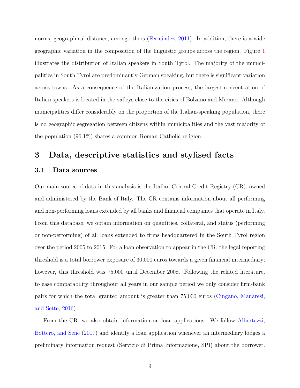norms, geographical distance, among others (Fernández, [2011\)](#page-34-2). In addition, there is a wide geographic variation in the composition of the linguistic groups across the region. Figure [1](#page-37-0) illustrates the distribution of Italian speakers in South Tyrol. The majority of the municipalities in South Tyrol are predominantly German speaking, but there is significant variation across towns. As a consequence of the Italianization process, the largest concentration of Italian speakers is located in the valleys close to the cities of Bolzano and Merano. Although municipalities differ considerably on the proportion of the Italian-speaking population, there is no geographic segregation between citizens within municipalities and the vast majority of the population (96.1%) shares a common Roman Catholic religion.

## 3 Data, descriptive statistics and stylised facts

#### 3.1 Data sources

Our main source of data in this analysis is the Italian Central Credit Registry (CR), owned and administered by the Bank of Italy. The CR contains information about all performing and non-performing loans extended by all banks and financial companies that operate in Italy. From this database, we obtain information on quantities, collateral, and status (performing or non-performing) of all loans extended to firms headquartered in the South Tyrol region over the period 2005 to 2015. For a loan observation to appear in the CR, the legal reporting threshold is a total borrower exposure of 30,000 euros towards a given financial intermediary; however, this threshold was 75,000 until December 2008. Following the related literature, to ease comparability throughout all years in our sample period we only consider firm-bank pairs for which the total granted amount is greater than 75,000 euros [\(Cingano, Manaresi,](#page-33-4) [and Sette,](#page-33-4) [2016\)](#page-33-4).

From the CR, we also obtain information on loan applications. We follow [Albertazzi,](#page-32-5) [Bottero, and Sene](#page-32-5) [\(2017\)](#page-32-5) and identify a loan application whenever an intermediary lodges a preliminary information request (Servizio di Prima Informazione, SPI) about the borrower.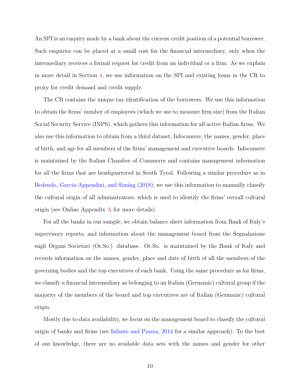An SPI is an enquiry made by a bank about the current credit position of a potential borrower. Such enquiries can be placed at a small cost for the financial intermediary, only when the intermediary receives a formal request for credit from an individual or a firm. As we explain in more detail in Section [4,](#page-15-0) we use information on the SPI and existing loans in the CR to proxy for credit demand and credit supply.

The CR contains the unique tax identification of the borrowers. We use this information to obtain the firms' number of employees (which we use to measure firm size) from the Italian Social Security Service (INPS), which gathers this information for all active Italian firms. We also use this information to obtain from a third dataset, Infocamere, the names, gender, place of birth, and age for all members of the firms' management and executive boards. Infocamere is maintained by the Italian Chamber of Commerce and contains management information for all the firms that are headquartered in South Tyrol. Following a similar procedure as in [Bedendo, Garcia-Appendini, and Siming](#page-32-6) [\(2018\)](#page-32-6), we use this information to manually classify the cultural origin of all administrators, which is used to identify the firms' overall cultural origin (see Online [A](#page-48-0)ppendix  $\Lambda$  for more details).

For all the banks in our sample, we obtain balance sheet information from Bank of Italy's supervisory reports, and information about the management board from the Segnalazione sugli Organi Societari (Or.So.) database. Or.So. is maintained by the Bank of Italy and records information on the names, gender, place and date of birth of all the members of the governing bodies and the top executives of each bank. Using the same procedure as for firms, we classify a financial intermediary as belonging to an Italian (Germanic) cultural group if the majority of the members of the board and top executives are of Italian (Germanic) cultural origin.

Mostly due to data availability, we focus on the management board to classify the cultural origin of banks and firms (see [Infante and Piazza,](#page-35-7) [2014](#page-35-7) for a similar approach). To the best of our knowledge, there are no available data sets with the names and gender for other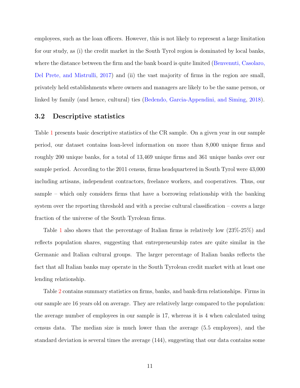employees, such as the loan officers. However, this is not likely to represent a large limitation for our study, as (i) the credit market in the South Tyrol region is dominated by local banks, where the distance between the firm and the bank board is quite limited [\(Benvenuti, Casolaro,](#page-32-7) [Del Prete, and Mistrulli,](#page-32-7) [2017\)](#page-32-7) and (ii) the vast majority of firms in the region are small, privately held establishments where owners and managers are likely to be the same person, or linked by family (and hence, cultural) ties [\(Bedendo, Garcia-Appendini, and Siming,](#page-32-6) [2018\)](#page-32-6).

#### <span id="page-11-0"></span>3.2 Descriptive statistics

Table [1](#page-37-1) presents basic descriptive statistics of the CR sample. On a given year in our sample period, our dataset contains loan-level information on more than 8,000 unique firms and roughly 200 unique banks, for a total of 13,469 unique firms and 361 unique banks over our sample period. According to the 2011 census, firms headquartered in South Tyrol were 43,000 including artisans, independent contractors, freelance workers, and cooperatives. Thus, our sample – which only considers firms that have a borrowing relationship with the banking system over the reporting threshold and with a precise cultural classification – covers a large fraction of the universe of the South Tyrolean firms.

Table [1](#page-37-1) also shows that the percentage of Italian firms is relatively low (23%-25%) and reflects population shares, suggesting that entrepreneurship rates are quite similar in the Germanic and Italian cultural groups. The larger percentage of Italian banks reflects the fact that all Italian banks may operate in the South Tyrolean credit market with at least one lending relationship.

Table [2](#page-38-0) contains summary statistics on firms, banks, and bank-firm relationships. Firms in our sample are 16 years old on average. They are relatively large compared to the population: the average number of employees in our sample is 17, whereas it is 4 when calculated using census data. The median size is much lower than the average (5.5 employees), and the standard deviation is several times the average (144), suggesting that our data contains some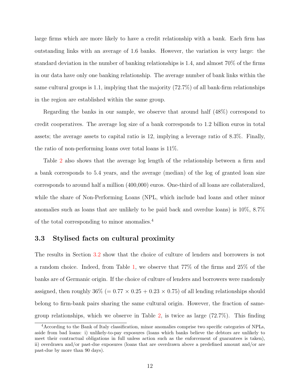large firms which are more likely to have a credit relationship with a bank. Each firm has outstanding links with an average of 1.6 banks. However, the variation is very large: the standard deviation in the number of banking relationships is 1.4, and almost 70% of the firms in our data have only one banking relationship. The average number of bank links within the same cultural groups is 1.1, implying that the majority  $(72.7\%)$  of all bank-firm relationships in the region are established within the same group.

Regarding the banks in our sample, we observe that around half (48%) correspond to credit cooperatives. The average log size of a bank corresponds to 1.2 billion euros in total assets; the average assets to capital ratio is 12, implying a leverage ratio of 8.3%. Finally, the ratio of non-performing loans over total loans is 11%.

Table [2](#page-38-0) also shows that the average log length of the relationship between a firm and a bank corresponds to 5.4 years, and the average (median) of the log of granted loan size corresponds to around half a million (400,000) euros. One-third of all loans are collateralized, while the share of Non-Performing Loans (NPL, which include bad loans and other minor anomalies such as loans that are unlikely to be paid back and overdue loans) is 10%, 8.7% of the total corresponding to minor anomalies.<sup>4</sup>

#### 3.3 Stylised facts on cultural proximity

The results in Section [3.2](#page-11-0) show that the choice of culture of lenders and borrowers is not a random choice. Indeed, from Table [1,](#page-37-1) we observe that 77% of the firms and 25% of the banks are of Germanic origin. If the choice of culture of lenders and borrowers were randomly assigned, then roughly  $36\% (= 0.77 \times 0.25 + 0.23 \times 0.75)$  of all lending relationships should belong to firm-bank pairs sharing the same cultural origin. However, the fraction of same-group relationships, which we observe in Table [2,](#page-38-0) is twice as large  $(72.7\%)$ . This finding

<sup>4</sup>According to the Bank of Italy classification, minor anomalies comprise two specific categories of NPLs, aside from bad loans: i) unlikely-to-pay exposures (loans which banks believe the debtors are unlikely to meet their contractual obligations in full unless action such as the enforcement of guarantees is taken), ii) overdrawn and/or past-due exposures (loans that are overdrawn above a predefined amount and/or are past-due by more than 90 days).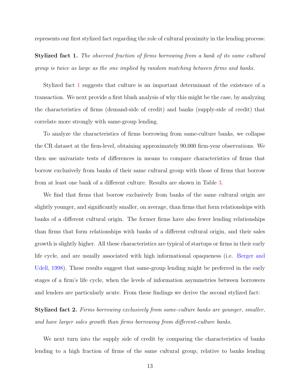represents our first stylized fact regarding the role of cultural proximity in the lending process:

<span id="page-13-0"></span>Stylized fact 1. The observed fraction of firms borrowing from a bank of its same cultural group is twice as large as the one implied by random matching between firms and banks.

Stylized fact [1](#page-13-0) suggests that culture is an important determinant of the existence of a transaction. We next provide a first blush analysis of why this might be the case, by analyzing the characteristics of firms (demand-side of credit) and banks (supply-side of credit) that correlate more strongly with same-group lending.

To analyze the characteristics of firms borrowing from same-culture banks, we collapse the CR dataset at the firm-level, obtaining approximately 90,000 firm-year observations. We then use univariate tests of differences in means to compare characteristics of firms that borrow exclusively from banks of their same cultural group with those of firms that borrow from at least one bank of a different culture. Results are shown in Table [3.](#page-39-0)

We find that firms that borrow exclusively from banks of the same cultural origin are slightly younger, and significantly smaller, on average, than firms that form relationships with banks of a different cultural origin. The former firms have also fewer lending relationships than firms that form relationships with banks of a different cultural origin, and their sales growth is slightly higher. All these characteristics are typical of startups or firms in their early life cycle, and are usually associated with high informational opaqueness (i.e. [Berger and](#page-32-1) [Udell,](#page-32-1) [1998\)](#page-32-1). These results suggest that same-group lending might be preferred in the early stages of a firm's life cycle, when the levels of information asymmetries between borrowers and lenders are particularly acute. From these findings we derive the second stylized fact:

Stylized fact 2. Firms borrowing exclusively from same-culture banks are younger, smaller, and have larger sales growth than firms borrowing from different-culture banks.

We next turn into the supply side of credit by comparing the characteristics of banks lending to a high fraction of firms of the same cultural group, relative to banks lending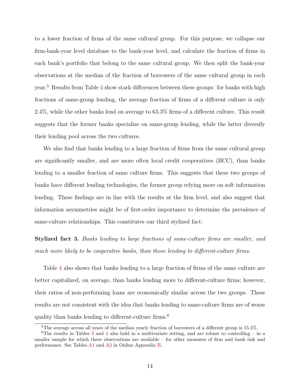to a lower fraction of firms of the same cultural group. For this purpose, we collapse our firm-bank-year level database to the bank-year level, and calculate the fraction of firms in each bank's portfolio that belong to the same cultural group. We then split the bank-year observations at the median of the fraction of borrowers of the same cultural group in each year.<sup>5</sup> Results from Table [4](#page-40-0) show stark differences between these groups: for banks with high fractions of same-group lending, the average fraction of firms of a different culture is only 2.4%, while the other banks lend on average to 63.3% firms of a different culture. This result suggests that the former banks specialize on same-group lending, while the latter diversify their lending pool across the two cultures.

We also find that banks lending to a large fraction of firms from the same cultural group are significantly smaller, and are more often local credit cooperatives (BCC), than banks lending to a smaller fraction of same culture firms. This suggests that these two groups of banks have different lending technologies, the former group relying more on soft information lending. These findings are in line with the results at the firm level, and also suggest that information asymmetries might be of first-order importance to determine the prevalence of same-culture relationships. This constitutes our third stylized fact:

<span id="page-14-0"></span>Stylized fact 3. Banks lending to large fractions of same-culture firms are smaller, and much more likely to be cooperative banks, than those lending to different-culture firms.

Table [4](#page-40-0) also shows that banks lending to a large fraction of firms of the same culture are better capitalized, on average, than banks lending more to different-culture firms; however, their ratios of non-performing loans are economically similar across the two groups. These results are not consistent with the idea that banks lending to same-culture firms are of worse quality than banks lending to different-culture firms.<sup>6</sup>

<sup>5</sup>The average across all years of the median yearly fraction of borrowers of a different group is 15.4%.

<sup>&</sup>lt;sup>6</sup>The results in Tables [3](#page-39-0) and [4](#page-40-0) also hold in a multivariate setting, and are robust to controlling – in a smaller sample for which these observations are available – for other measures of firm and bank risk and performance. See Tables [A1](#page-50-0) and [A2](#page-51-0) in Online Appendix [B.](#page-50-1)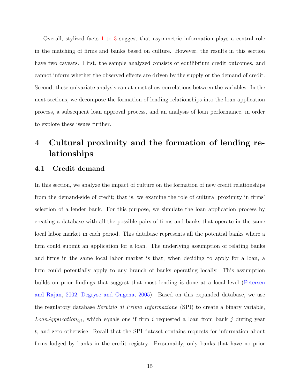Overall, stylized facts [1](#page-13-0) to [3](#page-14-0) suggest that asymmetric information plays a central role in the matching of firms and banks based on culture. However, the results in this section have two caveats. First, the sample analyzed consists of equilibrium credit outcomes, and cannot inform whether the observed effects are driven by the supply or the demand of credit. Second, these univariate analysis can at most show correlations between the variables. In the next sections, we decompose the formation of lending relationships into the loan application process, a subsequent loan approval process, and an analysis of loan performance, in order to explore these issues further.

# <span id="page-15-0"></span>4 Cultural proximity and the formation of lending relationships

#### 4.1 Credit demand

In this section, we analyze the impact of culture on the formation of new credit relationships from the demand-side of credit; that is, we examine the role of cultural proximity in firms' selection of a lender bank. For this purpose, we simulate the loan application process by creating a database with all the possible pairs of firms and banks that operate in the same local labor market in each period. This database represents all the potential banks where a firm could submit an application for a loan. The underlying assumption of relating banks and firms in the same local labor market is that, when deciding to apply for a loan, a firm could potentially apply to any branch of banks operating locally. This assumption builds on prior findings that suggest that most lending is done at a local level [\(Petersen](#page-35-3) [and Rajan,](#page-35-3) [2002;](#page-35-3) [Degryse and Ongena,](#page-33-5) [2005\)](#page-33-5). Based on this expanded database, we use the regulatory database Servizio di Prima Informazione (SPI) to create a binary variable,  $LoanApplication_{ijt}$ , which equals one if firm i requested a loan from bank j during year t, and zero otherwise. Recall that the SPI dataset contains requests for information about firms lodged by banks in the credit registry. Presumably, only banks that have no prior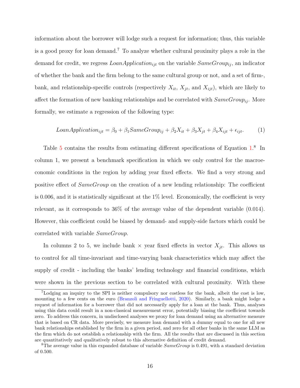information about the borrower will lodge such a request for information; thus, this variable is a good proxy for loan demand.<sup>7</sup> To analyze whether cultural proximity plays a role in the demand for credit, we regress  $LoanApplication_{ijt}$  on the variable  $SameGroup_{ij}$ , an indicator of whether the bank and the firm belong to the same cultural group or not, and a set of firm-, bank, and relationship-specific controls (respectively  $X_{it}$ ,  $X_{jt}$ , and  $X_{ijt}$ ), which are likely to affect the formation of new banking relationships and be correlated with  $SameGroup_{ij}$ . More formally, we estimate a regression of the following type:

<span id="page-16-0"></span>
$$
Loan Application_{ijt} = \beta_0 + \beta_1 SameGroup_{ij} + \beta_2 X_{it} + \beta_3 X_{jt} + \beta_4 X_{ijt} + \epsilon_{ijt}.
$$
 (1)

Table [5](#page-41-0) contains the results from estimating different specifications of Equation [1.](#page-16-0)<sup>8</sup> In column 1, we present a benchmark specification in which we only control for the macroeconomic conditions in the region by adding year fixed effects. We find a very strong and positive effect of SameGroup on the creation of a new lending relationship: The coefficient is 0.006, and it is statistically significant at the  $1\%$  level. Economically, the coefficient is very relevant, as it corresponds to 36% of the average value of the dependent variable (0.014). However, this coefficient could be biased by demand- and supply-side factors which could be correlated with variable SameGroup.

In columns 2 to 5, we include bank  $\times$  year fixed effects in vector  $X_{jt}$ . This allows us to control for all time-invariant and time-varying bank characteristics which may affect the supply of credit - including the banks' lending technology and financial conditions, which were shown in the previous section to be correlated with cultural proximity. With these

<sup>7</sup>Lodging an inquiry to the SPI is neither compulsory nor costless for the bank, albeit the cost is low, mounting to a few cents on the euro [\(Branzoli and Fringuellotti,](#page-33-6) [2020\)](#page-33-6). Similarly, a bank might lodge a request of information for a borrower that did not necessarily apply for a loan at the bank. Thus, analyses using this data could result in a non-classical measurement error, potentially biasing the coefficient towards zero. To address this concern, in undisclosed analyses we proxy for loan demand using an alternative measure that is based on CR data. More precisely, we measure loan demand with a dummy equal to one for all new bank relationships established by the firm in a given period, and zero for all other banks in the same LLM as the firm which do not establish a relationship with the firm. All the results that are discussed in this section are quantitatively and qualitatively robust to this alternative definition of credit demand.

<sup>&</sup>lt;sup>8</sup>The average value in this expanded database of variable  $SameGroup$  is 0.491, with a standard deviation of 0.500.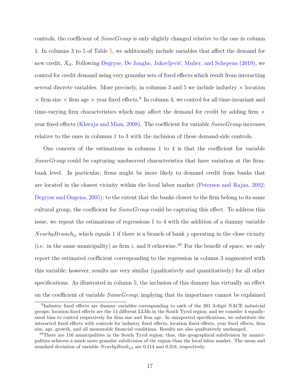controls, the coefficient of  $SameGroup$  is only slightly changed relative to the one in column 1. In columns 3 to 5 of Table [5,](#page-41-0) we additionally include variables that affect the demand for new credit,  $X_{it}$ . Following Degryse, De Jonghe, Jakovljević, Mulier, and Schepens [\(2019\)](#page-34-5), we control for credit demand using very granular sets of fixed effects which result from interacting several discrete variables. More precisely, in columns 3 and 5 we include industry  $\times$  location  $\times$  firm size  $\times$  firm age  $\times$  year fixed effects.<sup>9</sup> In column 4, we control for all time-invariant and time-varying firm characteristics which may affect the demand for credit by adding firm  $\times$ year fixed effects [\(Khwaja and Mian,](#page-35-8) [2008\)](#page-35-8). The coefficient for variable SameGroup increases relative to the ones in columns 1 to 3 with the inclusion of these demand-side controls.

One concern of the estimations in columns 1 to 4 is that the coefficient for variable SameGroup could be capturing unobserved characteristics that have variation at the firmbank level. In particular, firms might be more likely to demand credit from banks that are located in the closest vicinity within the local labor market [\(Petersen and Rajan,](#page-35-3) [2002;](#page-35-3) [Degryse and Ongena,](#page-33-5) [2005\)](#page-33-5); to the extent that the banks closest to the firm belong to its same cultural group, the coefficient for  $SameGroup$  could be capturing this effect. To address this issue, we repeat the estimations of regressions 1 to 4 with the addition of a dummy variable NearbyBranch<sub>ij</sub> which equals 1 if there is a branch of bank j operating in the close vicinity (i.e. in the same municipality) as firm i, and 0 otherwise.<sup>10</sup> For the benefit of space, we only report the estimated coefficient corresponding to the regression in column 3 augmented with this variable; however, results are very similar (qualitatively and quantitatively) for all other specifications. As illustrated in column 5, the inclusion of this dummy has virtually no effect on the coefficient of variable SameGroup, implying that its importance cannot be explained

<sup>&</sup>lt;sup>9</sup>Industry fixed effects are dummy variables corresponding to each of the 201 3-digit NACE industrial groups; location fixed effects are the 14 different LLMs in the South Tyrol region; and we consider 4 equallysized bins to control respectively for firm size and firm age. In unreported specifications, we substitute the interacted fixed effects with controls for industry fixed effects, location fixed effects, year fixed effects, firm size, age, growth, and all measurable financial conditions. Results are also qualitatively unchanged.

<sup>&</sup>lt;sup>10</sup>There are 116 municipalities in the South Tyrol region; thus, this geographical subdivision by municipalities achieves a much more granular subdivision of the region than the local labor market. The mean and standard deviation of variable  $NearbyBank_{ijt}$  are 0.114 and 0.318, respectively.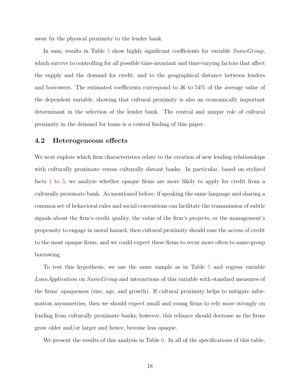away by the physical proximity to the lender bank.

In sum, results in Table [5](#page-41-0) show highly significant coefficients for variable  $SameGroup$ , which survive to controlling for all possible time-invariant and time-varying factors that affect the supply and the demand for credit, and to the geographical distance between lenders and borrowers. The estimated coefficients correspond to 36 to 54% of the average value of the dependent variable, showing that cultural proximity is also an economically important determinant in the selection of the lender bank. The central and unique role of cultural proximity in the demand for loans is a central finding of this paper.

#### 4.2 Heterogeneous effects

We next explore which firm characteristics relate to the creation of new lending relationships with culturally proximate versus culturally distant banks. In particular, based on stylized facts [1](#page-13-0) to [3,](#page-14-0) we analyze whether opaque firms are more likely to apply for credit from a culturally proximate bank. As mentioned before, if speaking the same language and sharing a common set of behavioral rules and social conventions can facilitate the transmission of subtle signals about the firm's credit quality, the value of the firm's projects, or the management's propensity to engage in moral hazard, then cultural proximity should ease the access of credit to the most opaque firms, and we could expect these firms to recur more often to same-group borrowing.

To test this hypothesis, we use the same sample as in Table [5](#page-41-0) and regress variable LoanApplication on SameGroup and interactions of this variable with standard measures of the firms' opaqueness (size, age, and growth). If cultural proximity helps to mitigate information asymmetries, then we should expect small and young firms to rely more strongly on lending from culturally proximate banks; however, this reliance should decrease as the firms grow older and/or larger and hence, become less opaque.

We present the results of this analysis in Table [6.](#page-42-0) In all of the specifications of this table,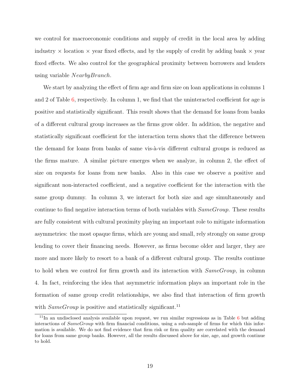we control for macroeconomic conditions and supply of credit in the local area by adding industry  $\times$  location  $\times$  year fixed effects, and by the supply of credit by adding bank  $\times$  year fixed effects. We also control for the geographical proximity between borrowers and lenders using variable NearbyBranch.

We start by analyzing the effect of firm age and firm size on loan applications in columns 1 and 2 of Table [6,](#page-42-0) respectively. In column 1, we find that the uninteracted coefficient for age is positive and statistically significant. This result shows that the demand for loans from banks of a different cultural group increases as the firms grow older. In addition, the negative and statistically significant coefficient for the interaction term shows that the difference between the demand for loans from banks of same vis- $\lambda$ -vis different cultural groups is reduced as the firms mature. A similar picture emerges when we analyze, in column 2, the effect of size on requests for loans from new banks. Also in this case we observe a positive and significant non-interacted coefficient, and a negative coefficient for the interaction with the same group dummy. In column 3, we interact for both size and age simultaneously and continue to find negative interaction terms of both variables with  $SameGroup$ . These results are fully consistent with cultural proximity playing an important role to mitigate information asymmetries: the most opaque firms, which are young and small, rely strongly on same group lending to cover their financing needs. However, as firms become older and larger, they are more and more likely to resort to a bank of a different cultural group. The results continue to hold when we control for firm growth and its interaction with SameGroup, in column 4. In fact, reinforcing the idea that asymmetric information plays an important role in the formation of same group credit relationships, we also find that interaction of firm growth with  $SameGroup$  is positive and statistically significant.<sup>11</sup>

<sup>&</sup>lt;sup>11</sup>In an undisclosed analysis available upon request, we run similar regressions as in Table [6](#page-42-0) but adding interactions of SameGroup with firm financial conditions, using a sub-sample of firms for which this information is available. We do not find evidence that firm risk or firm quality are correlated with the demand for loans from same group banks. However, all the results discussed above for size, age, and growth continue to hold.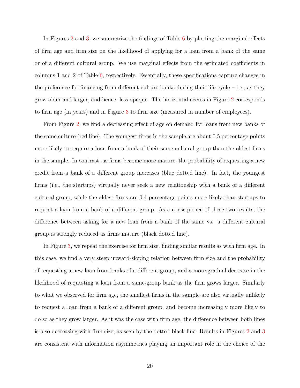In Figures [2](#page-43-0) and [3,](#page-43-1) we summarize the findings of Table  $6$  by plotting the marginal effects of firm age and firm size on the likelihood of applying for a loan from a bank of the same or of a different cultural group. We use marginal effects from the estimated coefficients in columns 1 and 2 of Table [6,](#page-42-0) respectively. Essentially, these specifications capture changes in the preference for financing from different-culture banks during their life-cycle – i.e., as they grow older and larger, and hence, less opaque. The horizontal access in Figure [2](#page-43-0) corresponds to firm age (in years) and in Figure [3](#page-43-1) to firm size (measured in number of employees).

From Figure [2,](#page-43-0) we find a decreasing effect of age on demand for loans from new banks of the same culture (red line). The youngest firms in the sample are about 0.5 percentage points more likely to require a loan from a bank of their same cultural group than the oldest firms in the sample. In contrast, as firms become more mature, the probability of requesting a new credit from a bank of a different group increases (blue dotted line). In fact, the youngest firms (i.e., the startups) virtually never seek a new relationship with a bank of a different cultural group, while the oldest firms are 0.4 percentage points more likely than startups to request a loan from a bank of a different group. As a consequence of these two results, the difference between asking for a new loan from a bank of the same vs. a different cultural group is strongly reduced as firms mature (black dotted line).

In Figure [3,](#page-43-1) we repeat the exercise for firm size, finding similar results as with firm age. In this case, we find a very steep upward-sloping relation between firm size and the probability of requesting a new loan from banks of a different group, and a more gradual decrease in the likelihood of requesting a loan from a same-group bank as the firm grows larger. Similarly to what we observed for firm age, the smallest firms in the sample are also virtually unlikely to request a loan from a bank of a different group, and become increasingly more likely to do so as they grow larger. As it was the case with firm age, the difference between both lines is also decreasing with firm size, as seen by the dotted black line. Results in Figures [2](#page-43-0) and [3](#page-43-1) are consistent with information asymmetries playing an important role in the choice of the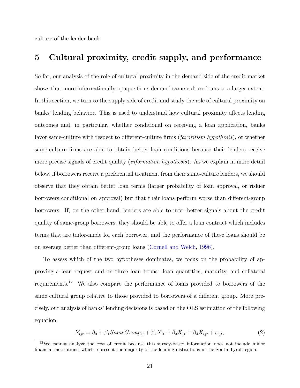culture of the lender bank.

### 5 Cultural proximity, credit supply, and performance

So far, our analysis of the role of cultural proximity in the demand side of the credit market shows that more informationally-opaque firms demand same-culture loans to a larger extent. In this section, we turn to the supply side of credit and study the role of cultural proximity on banks' lending behavior. This is used to understand how cultural proximity affects lending outcomes and, in particular, whether conditional on receiving a loan application, banks favor same-culture with respect to different-culture firms (*favoritism hypothesis*), or whether same-culture firms are able to obtain better loan conditions because their lenders receive more precise signals of credit quality *(information hypothesis)*. As we explain in more detail below, if borrowers receive a preferential treatment from their same-culture lenders, we should observe that they obtain better loan terms (larger probability of loan approval, or riskier borrowers conditional on approval) but that their loans perform worse than different-group borrowers. If, on the other hand, lenders are able to infer better signals about the credit quality of same-group borrowers, they should be able to offer a loan contract which includes terms that are tailor-made for each borrower, and the performance of these loans should be on average better than different-group loans [\(Cornell and Welch,](#page-33-2) [1996\)](#page-33-2).

To assess which of the two hypotheses dominates, we focus on the probability of approving a loan request and on three loan terms: loan quantities, maturity, and collateral requirements.<sup>12</sup> We also compare the performance of loans provided to borrowers of the same cultural group relative to those provided to borrowers of a different group. More precisely, our analysis of banks' lending decisions is based on the OLS estimation of the following equation:

<span id="page-21-0"></span>
$$
Y_{ijt} = \beta_0 + \beta_1 SameGroup_{ij} + \beta_2 X_{it} + \beta_3 X_{jt} + \beta_4 X_{ijt} + \epsilon_{ijt},\tag{2}
$$

 $12\text{We cannot analyze the cost of credit because this survey-based information does not include minor.}$ financial institutions, which represent the majority of the lending institutions in the South Tyrol region.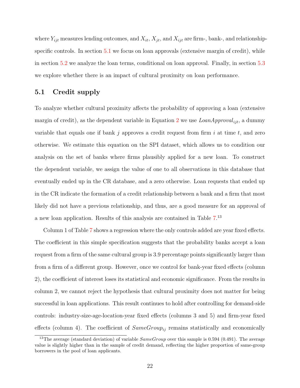where  $Y_{ijt}$  measures lending outcomes, and  $X_{it}$ ,  $X_{jt}$ , and  $X_{ijt}$  are firm-, bank-, and relationship-specific controls. In section [5.1](#page-22-0) we focus on loan approvals (extensive margin of credit), while in section [5.2](#page-23-0) we analyze the loan terms, conditional on loan approval. Finally, in section [5.3](#page-29-0) we explore whether there is an impact of cultural proximity on loan performance.

#### <span id="page-22-0"></span>5.1 Credit supply

To analyze whether cultural proximity affects the probability of approving a loan (extensive margin of credit), as the dependent variable in Equation [2](#page-21-0) we use  $\textit{LoanApproxal}_{ijt}$ , a dummy variable that equals one if bank j approves a credit request from firm i at time t, and zero otherwise. We estimate this equation on the SPI dataset, which allows us to condition our analysis on the set of banks where firms plausibly applied for a new loan. To construct the dependent variable, we assign the value of one to all observations in this database that eventually ended up in the CR database, and a zero otherwise. Loan requests that ended up in the CR indicate the formation of a credit relationship between a bank and a firm that most likely did not have a previous relationship, and thus, are a good measure for an approval of a new loan application. Results of this analysis are contained in Table [7.](#page-44-0) 13

Column 1 of Table [7](#page-44-0) shows a regression where the only controls added are year fixed effects. The coefficient in this simple specification suggests that the probability banks accept a loan request from a firm of the same cultural group is 3.9 percentage points significantly larger than from a firm of a different group. However, once we control for bank-year fixed effects (column 2), the coefficient of interest loses its statistical and economic significance. From the results in column 2, we cannot reject the hypothesis that cultural proximity does not matter for being successful in loan applications. This result continues to hold after controlling for demand-side controls: industry-size-age-location-year fixed effects (columns 3 and 5) and firm-year fixed effects (column 4). The coefficient of  $SameGroup_{ij}$  remains statistically and economically

<sup>&</sup>lt;sup>13</sup>The average (standard deviation) of variable  $SameGroup$  over this sample is 0.594 (0.491). The average value is slightly higher than in the sample of credit demand, reflecting the higher proportion of same-group borrowers in the pool of loan applicants.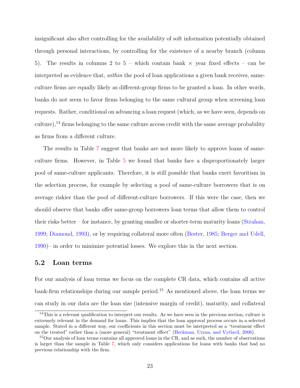insignificant also after controlling for the availability of soft information potentially obtained through personal interactions, by controlling for the existence of a nearby branch (column 5). The results in columns 2 to 5 – which contain bank  $\times$  year fixed effects – can be interpreted as evidence that, within the pool of loan applications a given bank receives, sameculture firms are equally likely as different-group firms to be granted a loan. In other words, banks do not seem to favor firms belonging to the same cultural group when screening loan requests. Rather, conditional on advancing a loan request (which, as we have seen, depends on culture),<sup>14</sup> firms belonging to the same culture access credit with the same average probability as firms from a different culture.

The results in Table [7](#page-44-0) suggest that banks are not more likely to approve loans of sameculture firms. However, in Table [5](#page-41-0) we found that banks face a disproportionately larger pool of same-culture applicants. Therefore, it is still possible that banks exert favoritism in the selection process, for example by selecting a pool of same-culture borrowers that is on average riskier than the pool of different-culture borrowers. If this were the case, then we should observe that banks offer same-group borrowers loan terms that allow them to control their risks better – for instance, by granting smaller or shorter-term maturity loans [\(Strahan,](#page-36-1) [1999;](#page-36-1) [Diamond,](#page-34-6) [1993\)](#page-34-6), or by requiring collateral more often [\(Bester,](#page-33-7) [1985;](#page-33-7) [Berger and Udell,](#page-32-8) [1990\)](#page-32-8)– in order to minimize potential losses. We explore this in the next section.

#### <span id="page-23-0"></span>5.2 Loan terms

For our analysis of loan terms we focus on the complete CR data, which contains all active bank-firm relationships during our sample period.<sup>15</sup> As mentioned above, the loan terms we can study in our data are the loan size (intensive margin of credit), maturity, and collateral

<sup>&</sup>lt;sup>14</sup>This is a relevant qualification to interpret our results. As we have seen in the previous section, culture is extremely relevant in the demand for loans. This implies that the loan approval process occurs in a selected sample. Stated in a different way, our coefficients in this section must be interpreted as a "treatment effect on the treated" rather than a (more general) "treatment effect" [\(Heckman, Urzua, and Vytlacil,](#page-35-9) [2006\)](#page-35-9).

<sup>&</sup>lt;sup>15</sup>Our analysis of loan terms contains all approved loans in the CR, and as such, the number of observations is larger than the sample in Table [7,](#page-44-0) which only considers applications for loans with banks that had no previous relationship with the firm.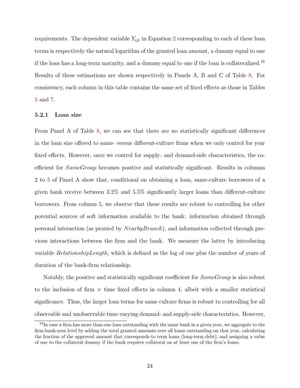requirements. The dependent variable  $Y_{ijt}$  in Equation [2](#page-21-0) corresponding to each of these loan terms is respectively the natural logarithm of the granted loan amount, a dummy equal to one if the loan has a long-term maturity, and a dummy equal to one if the loan is collateralized.<sup>16</sup> Results of these estimations are shown respectively in Panels A, B and C of Table [8.](#page-45-0) For consistency, each column in this table contains the same set of fixed effects as those in Tables [5](#page-41-0) and [7.](#page-44-0)

#### 5.2.1 Loan size

From Panel A of Table [8,](#page-45-0) we can see that there are no statistically significant differences in the loan size offered to same- versus different-culture firms when we only control for year fixed effects. However, once we control for supply- and demand-side characteristics, the coefficient for  $SameGroup$  becomes positive and statistically significant. Results in columns 2 to 5 of Panel A show that, conditional on obtaining a loan, same-culture borrowers of a given bank receive between 3.2% and 5.5% significantly larger loans than different-culture borrowers. From column 5, we observe that these results are robust to controlling for other potential sources of soft information available to the bank: information obtained through personal interaction (as proxied by NearbyBranch), and information collected through previous interactions between the firm and the bank. We measure the latter by introducing variable RelationshipLength, which is defined as the log of one plus the number of years of duration of the bank-firm relationship.

Notably, the positive and statistically significant coefficient for SameGroup is also robust to the inclusion of firm  $\times$  time fixed effects in column 4, albeit with a smaller statistical significance. Thus, the larger loan terms for same culture firms is robust to controlling for all observable and unobservable time-varying demand- and supply-side characteristics. However,

<sup>&</sup>lt;sup>16</sup>In case a firm has more than one loan outstanding with the same bank in a given year, we aggregate to the firm-bank-year level by adding the total granted amounts over all loans outstanding on that year, calculating the fraction of the approved amount that corresponds to term loans (long-term debt), and assigning a value of one to the collateral dummy if the bank requires collateral on at least one of the firm's loans.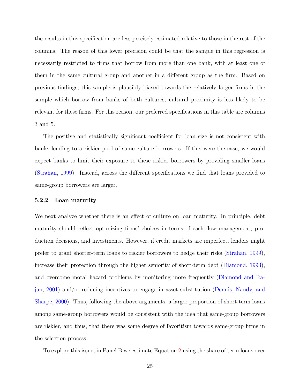the results in this specification are less precisely estimated relative to those in the rest of the columns. The reason of this lower precision could be that the sample in this regression is necessarily restricted to firms that borrow from more than one bank, with at least one of them in the same cultural group and another in a different group as the firm. Based on previous findings, this sample is plausibly biased towards the relatively larger firms in the sample which borrow from banks of both cultures; cultural proximity is less likely to be relevant for these firms. For this reason, our preferred specifications in this table are columns 3 and 5.

The positive and statistically significant coefficient for loan size is not consistent with banks lending to a riskier pool of same-culture borrowers. If this were the case, we would expect banks to limit their exposure to these riskier borrowers by providing smaller loans [\(Strahan,](#page-36-1) [1999\)](#page-36-1). Instead, across the different specifications we find that loans provided to same-group borrowers are larger.

#### 5.2.2 Loan maturity

We next analyze whether there is an effect of culture on loan maturity. In principle, debt maturity should reflect optimizing firms' choices in terms of cash flow management, production decisions, and investments. However, if credit markets are imperfect, lenders might prefer to grant shorter-term loans to riskier borrowers to hedge their risks [\(Strahan,](#page-36-1) [1999\)](#page-36-1), increase their protection through the higher seniority of short-term debt [\(Diamond,](#page-34-6) [1993\)](#page-34-6), and overcome moral hazard problems by monitoring more frequently [\(Diamond and Ra](#page-34-7)[jan,](#page-34-7) [2001\)](#page-34-7) and/or reducing incentives to engage in asset substitution [\(Dennis, Nandy, and](#page-34-8) [Sharpe,](#page-34-8) [2000\)](#page-34-8). Thus, following the above arguments, a larger proportion of short-term loans among same-group borrowers would be consistent with the idea that same-group borrowers are riskier, and thus, that there was some degree of favoritism towards same-group firms in the selection process.

To explore this issue, in Panel B we estimate Equation [2](#page-21-0) using the share of term loans over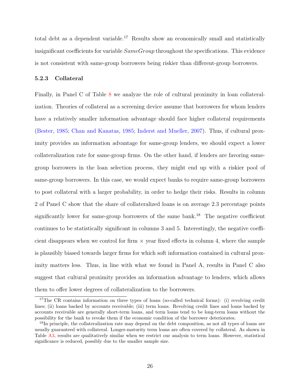total debt as a dependent variable.<sup>17</sup> Results show an economically small and statistically insignificant coefficients for variable  $SameGroup$  throughout the specifications. This evidence is not consistent with same-group borrowers being riskier than different-group borrowers.

#### 5.2.3 Collateral

Finally, in Panel C of Table [8](#page-45-0) we analyze the role of cultural proximity in loan collateralization. Theories of collateral as a screening device assume that borrowers for whom lenders have a relatively smaller information advantage should face higher collateral requirements [\(Bester,](#page-33-7) [1985;](#page-33-7) [Chan and Kanatas,](#page-33-8) [1985;](#page-33-8) [Inderst and Mueller,](#page-35-10) [2007\)](#page-35-10). Thus, if cultural proximity provides an information advantage for same-group lenders, we should expect a lower collateralization rate for same-group firms. On the other hand, if lenders are favoring samegroup borrowers in the loan selection process, they might end up with a riskier pool of same-group borrowers. In this case, we would expect banks to require same-group borrowers to post collateral with a larger probability, in order to hedge their risks. Results in column 2 of Panel C show that the share of collateralized loans is on average 2.3 percentage points significantly lower for same-group borrowers of the same bank.<sup>18</sup> The negative coefficient continues to be statistically significant in columns 3 and 5. Interestingly, the negative coefficient disappears when we control for firm  $\times$  year fixed effects in column 4, where the sample is plausibly biased towards larger firms for which soft information contained in cultural proximity matters less. Thus, in line with what we found in Panel A, results in Panel C also suggest that cultural proximity provides an information advantage to lenders, which allows them to offer lower degrees of collateralization to the borrowers.

<sup>&</sup>lt;sup>17</sup>The CR contains information on three types of loans (so-called technical forms): (i) revolving credit lines; (ii) loans backed by accounts receivable; (iii) term loans. Revolving credit lines and loans backed by accounts receivable are generally short-term loans, and term loans tend to be long-term loans without the possibility for the bank to revoke them if the economic condition of the borrower deteriorates.

<sup>&</sup>lt;sup>18</sup>In principle, the collateralization rate may depend on the debt composition, as not all types of loans are usually guaranteed with collateral. Longer-maturity term loans are often covered by collateral. As shown in Table [A3,](#page-52-0) results are qualitatively similar when we restrict our analysis to term loans. However, statistical significance is reduced, possibly due to the smaller sample size.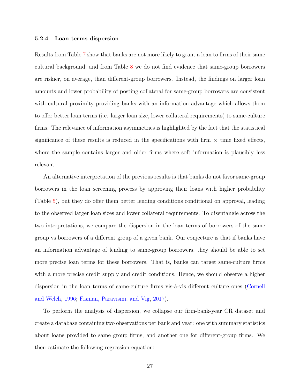#### 5.2.4 Loan terms dispersion

Results from Table [7](#page-44-0) show that banks are not more likely to grant a loan to firms of their same cultural background; and from Table [8](#page-45-0) we do not find evidence that same-group borrowers are riskier, on average, than different-group borrowers. Instead, the findings on larger loan amounts and lower probability of posting collateral for same-group borrowers are consistent with cultural proximity providing banks with an information advantage which allows them to offer better loan terms (i.e. larger loan size, lower collateral requirements) to same-culture firms. The relevance of information asymmetries is highlighted by the fact that the statistical significance of these results is reduced in the specifications with firm  $\times$  time fixed effects, where the sample contains larger and older firms where soft information is plausibly less relevant.

An alternative interpretation of the previous results is that banks do not favor same-group borrowers in the loan screening process by approving their loans with higher probability (Table [5\)](#page-41-0), but they do offer them better lending conditions conditional on approval, leading to the observed larger loan sizes and lower collateral requirements. To disentangle across the two interpretations, we compare the dispersion in the loan terms of borrowers of the same group vs borrowers of a different group of a given bank. Our conjecture is that if banks have an information advantage of lending to same-group borrowers, they should be able to set more precise loan terms for these borrowers. That is, banks can target same-culture firms with a more precise credit supply and credit conditions. Hence, we should observe a higher dispersion in the loan terms of same-culture firms vis-à-vis different culture ones [\(Cornell](#page-33-2) [and Welch,](#page-33-2) [1996;](#page-33-2) [Fisman, Paravisini, and Vig,](#page-34-1) [2017\)](#page-34-1).

To perform the analysis of dispersion, we collapse our firm-bank-year CR dataset and create a database containing two observations per bank and year: one with summary statistics about loans provided to same group firms, and another one for different-group firms. We then estimate the following regression equation: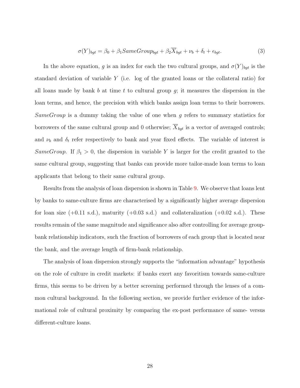$$
\sigma(Y)_{bgt} = \beta_0 + \beta_1 SameGroup_{bgt} + \beta_2 \overline{X}_{bgt} + \nu_b + \delta_t + \epsilon_{bgt}.
$$
\n(3)

In the above equation, g is an index for each the two cultural groups, and  $\sigma(Y)_{bgt}$  is the standard deviation of variable Y (i.e. log of the granted loans or the collateral ratio) for all loans made by bank b at time t to cultural group  $q$ ; it measures the dispersion in the loan terms, and hence, the precision with which banks assign loan terms to their borrowers. SameGroup is a dummy taking the value of one when  $q$  refers to summary statistics for borrowers of the same cultural group and 0 otherwise;  $\overline{X}_{bgt}$  is a vector of averaged controls; and  $\nu_b$  and  $\delta_t$  refer respectively to bank and year fixed effects. The variable of interest is SameGroup. If  $\beta_1 > 0$ , the dispersion in variable Y is larger for the credit granted to the same cultural group, suggesting that banks can provide more tailor-made loan terms to loan applicants that belong to their same cultural group.

Results from the analysis of loan dispersion is shown in Table [9.](#page-46-0) We observe that loans lent by banks to same-culture firms are characterised by a significantly higher average dispersion for loan size  $(+0.11 \text{ s.d.})$ , maturity  $(+0.03 \text{ s.d.})$  and collateralization  $(+0.02 \text{ s.d.})$ . These results remain of the same magnitude and significance also after controlling for average groupbank relationship indicators, such the fraction of borrowers of each group that is located near the bank, and the average length of firm-bank relationship.

The analysis of loan dispersion strongly supports the "information advantage" hypothesis on the role of culture in credit markets: if banks exert any favoritism towards same-culture firms, this seems to be driven by a better screening performed through the lenses of a common cultural background. In the following section, we provide further evidence of the informational role of cultural proximity by comparing the ex-post performance of same- versus different-culture loans.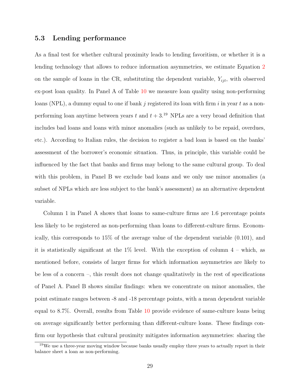#### <span id="page-29-0"></span>5.3 Lending performance

As a final test for whether cultural proximity leads to lending favoritism, or whether it is a lending technology that allows to reduce information asymmetries, we estimate Equation [2](#page-21-0) on the sample of loans in the CR, substituting the dependent variable,  $Y_{ijt}$ , with observed ex-post loan quality. In Panel A of Table [10](#page-47-0) we measure loan quality using non-performing loans (NPL), a dummy equal to one if bank j registered its loan with firm i in year t as a nonperforming loan anytime between years t and  $t + 3$ .<sup>19</sup> NPLs are a very broad definition that includes bad loans and loans with minor anomalies (such as unlikely to be repaid, overdues, etc.). According to Italian rules, the decision to register a bad loan is based on the banks' assessment of the borrower's economic situation. Thus, in principle, this variable could be influenced by the fact that banks and firms may belong to the same cultural group. To deal with this problem, in Panel B we exclude bad loans and we only use minor anomalies (a subset of NPLs which are less subject to the bank's assessment) as an alternative dependent variable.

Column 1 in Panel A shows that loans to same-culture firms are 1.6 percentage points less likely to be registered as non-performing than loans to different-culture firms. Economically, this corresponds to 15% of the average value of the dependent variable (0.101), and it is statistically significant at the  $1\%$  level. With the exception of column  $4$  – which, as mentioned before, consists of larger firms for which information asymmetries are likely to be less of a concern –, this result does not change qualitatively in the rest of specifications of Panel A. Panel B shows similar findings: when we concentrate on minor anomalies, the point estimate ranges between -8 and -18 percentage points, with a mean dependent variable equal to 8.7%. Overall, results from Table [10](#page-47-0) provide evidence of same-culture loans being on average significantly better performing than different-culture loans. These findings confirm our hypothesis that cultural proximity mitigates information asymmetries: sharing the

<sup>19</sup>We use a three-year moving window because banks usually employ three years to actually report in their balance sheet a loan as non-performing.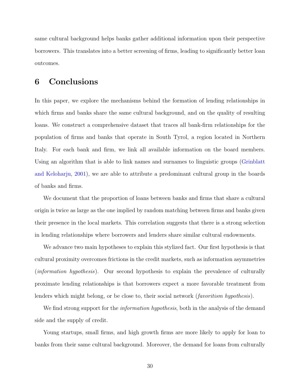same cultural background helps banks gather additional information upon their perspective borrowers. This translates into a better screening of firms, leading to significantly better loan outcomes.

## 6 Conclusions

In this paper, we explore the mechanisms behind the formation of lending relationships in which firms and banks share the same cultural background, and on the quality of resulting loans. We construct a comprehensive dataset that traces all bank-firm relationships for the population of firms and banks that operate in South Tyrol, a region located in Northern Italy. For each bank and firm, we link all available information on the board members. Using an algorithm that is able to link names and surnames to linguistic groups [\(Grinblatt](#page-34-9) [and Keloharju,](#page-34-9) [2001\)](#page-34-9), we are able to attribute a predominant cultural group in the boards of banks and firms.

We document that the proportion of loans between banks and firms that share a cultural origin is twice as large as the one implied by random matching between firms and banks given their presence in the local markets. This correlation suggests that there is a strong selection in lending relationships where borrowers and lenders share similar cultural endowments.

We advance two main hypotheses to explain this stylized fact. Our first hypothesis is that cultural proximity overcomes frictions in the credit markets, such as information asymmetries (information hypothesis). Our second hypothesis to explain the prevalence of culturally proximate lending relationships is that borrowers expect a more favorable treatment from lenders which might belong, or be close to, their social network (*favoritism hypothesis*).

We find strong support for the *information hypothesis*, both in the analysis of the demand side and the supply of credit.

Young startups, small firms, and high growth firms are more likely to apply for loan to banks from their same cultural background. Moreover, the demand for loans from culturally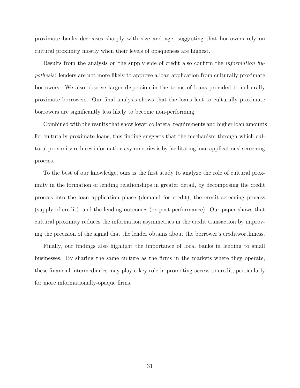proximate banks decreases sharply with size and age, suggesting that borrowers rely on cultural proximity mostly when their levels of opaqueness are highest.

Results from the analysis on the supply side of credit also confirm the information hypothesis: lenders are not more likely to approve a loan application from culturally proximate borrowers. We also observe larger dispersion in the terms of loans provided to culturally proximate borrowers. Our final analysis shows that the loans lent to culturally proximate borrowers are significantly less likely to become non-performing.

Combined with the results that show lower collateral requirements and higher loan amounts for culturally proximate loans, this finding suggests that the mechanism through which cultural proximity reduces information asymmetries is by facilitating loan applications' screening process.

To the best of our knowledge, ours is the first study to analyze the role of cultural proximity in the formation of lending relationships in greater detail, by decomposing the credit process into the loan application phase (demand for credit), the credit screening process (supply of credit), and the lending outcomes (ex-post performance). Our paper shows that cultural proximity reduces the information asymmetries in the credit transaction by improving the precision of the signal that the lender obtains about the borrower's creditworthiness.

Finally, our findings also highlight the importance of local banks in lending to small businesses. By sharing the same culture as the firms in the markets where they operate, these financial intermediaries may play a key role in promoting access to credit, particularly for more informationally-opaque firms.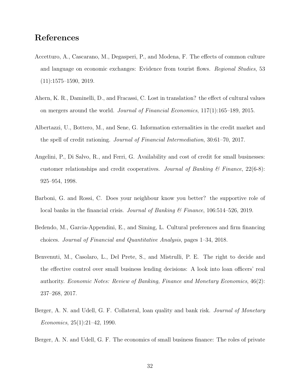### References

- <span id="page-32-2"></span>Accetturo, A., Cascarano, M., Degasperi, P., and Modena, F. The effects of common culture and language on economic exchanges: Evidence from tourist flows. Regional Studies, 53  $(11):1575-1590, 2019.$
- <span id="page-32-0"></span>Ahern, K. R., Daminelli, D., and Fracassi, C. Lost in translation? the effect of cultural values on mergers around the world. Journal of Financial Economics, 117(1):165–189, 2015.
- <span id="page-32-5"></span>Albertazzi, U., Bottero, M., and Sene, G. Information externalities in the credit market and the spell of credit rationing. Journal of Financial Intermediation, 30:61–70, 2017.
- <span id="page-32-3"></span>Angelini, P., Di Salvo, R., and Ferri, G. Availability and cost of credit for small businesses: customer relationships and credit cooperatives. Journal of Banking  $\mathcal C$  Finance, 22(6-8): 925–954, 1998.
- <span id="page-32-4"></span>Barboni, G. and Rossi, C. Does your neighbour know you better? the supportive role of local banks in the financial crisis. Journal of Banking  $\mathscr B$  Finance, 106:514–526, 2019.
- <span id="page-32-6"></span>Bedendo, M., Garcia-Appendini, E., and Siming, L. Cultural preferences and firm financing choices. Journal of Financial and Quantitative Analysis, pages 1–34, 2018.
- <span id="page-32-7"></span>Benvenuti, M., Casolaro, L., Del Prete, S., and Mistrulli, P. E. The right to decide and the effective control over small business lending decisions: A look into loan officers' real authority. Economic Notes: Review of Banking, Finance and Monetary Economics, 46(2): 237–268, 2017.
- <span id="page-32-8"></span>Berger, A. N. and Udell, G. F. Collateral, loan quality and bank risk. *Journal of Monetary* Economics, 25(1):21–42, 1990.
- <span id="page-32-1"></span>Berger, A. N. and Udell, G. F. The economics of small business finance: The roles of private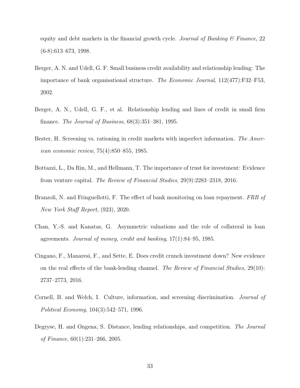equity and debt markets in the financial growth cycle. Journal of Banking  $\mathscr$  Finance, 22  $(6-8):613-673, 1998.$ 

- <span id="page-33-1"></span>Berger, A. N. and Udell, G. F. Small business credit availability and relationship lending: The importance of bank organisational structure. The Economic Journal, 112(477):F32–F53, 2002.
- <span id="page-33-3"></span>Berger, A. N., Udell, G. F., et al. Relationship lending and lines of credit in small firm finance. The Journal of Business, 68(3):351–381, 1995.
- <span id="page-33-7"></span>Bester, H. Screening vs. rationing in credit markets with imperfect information. The American economic review, 75(4):850–855, 1985.
- <span id="page-33-0"></span>Bottazzi, L., Da Rin, M., and Hellmann, T. The importance of trust for investment: Evidence from venture capital. The Review of Financial Studies, 29(9):2283–2318, 2016.
- <span id="page-33-6"></span>Branzoli, N. and Fringuellotti, F. The effect of bank monitoring on loan repayment. FRB of New York Staff Report, (923), 2020.
- <span id="page-33-8"></span>Chan, Y.-S. and Kanatas, G. Asymmetric valuations and the role of collateral in loan agreements. Journal of money, credit and banking, 17(1):84–95, 1985.
- <span id="page-33-4"></span>Cingano, F., Manaresi, F., and Sette, E. Does credit crunch investment down? New evidence on the real effects of the bank-lending channel. The Review of Financial Studies, 29(10): 2737–2773, 2016.
- <span id="page-33-2"></span>Cornell, B. and Welch, I. Culture, information, and screening discrimination. Journal of Political Economy, 104(3):542–571, 1996.
- <span id="page-33-5"></span>Degryse, H. and Ongena, S. Distance, lending relationships, and competition. The Journal of Finance, 60(1):231–266, 2005.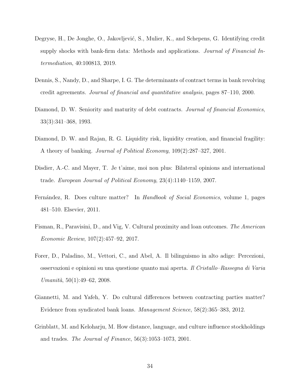- <span id="page-34-5"></span>Degryse, H., De Jonghe, O., Jakovljević, S., Mulier, K., and Schepens, G. Identifying credit supply shocks with bank-firm data: Methods and applications. *Journal of Financial In*termediation, 40:100813, 2019.
- <span id="page-34-8"></span>Dennis, S., Nandy, D., and Sharpe, I. G. The determinants of contract terms in bank revolving credit agreements. Journal of financial and quantitative analysis, pages 87–110, 2000.
- <span id="page-34-6"></span>Diamond, D. W. Seniority and maturity of debt contracts. Journal of financial Economics, 33(3):341–368, 1993.
- <span id="page-34-7"></span>Diamond, D. W. and Rajan, R. G. Liquidity risk, liquidity creation, and financial fragility: A theory of banking. Journal of Political Economy, 109(2):287–327, 2001.
- <span id="page-34-3"></span>Disdier, A.-C. and Mayer, T. Je t'aime, moi non plus: Bilateral opinions and international trade. European Journal of Political Economy, 23(4):1140–1159, 2007.
- <span id="page-34-2"></span>Fernández, R. Does culture matter? In Handbook of Social Economics, volume 1, pages 481–510. Elsevier, 2011.
- <span id="page-34-1"></span>Fisman, R., Paravisini, D., and Vig, V. Cultural proximity and loan outcomes. The American Economic Review, 107(2):457–92, 2017.
- <span id="page-34-4"></span>Forer, D., Paladino, M., Vettori, C., and Abel, A. Il bilinguismo in alto adige: Percezioni, osservazioni e opinioni su una questione quanto mai aperta. Il Cristallo–Rassegna di Varia  $Umanità, 50(1):49–62, 2008.$
- <span id="page-34-0"></span>Giannetti, M. and Yafeh, Y. Do cultural differences between contracting parties matter? Evidence from syndicated bank loans. Management Science, 58(2):365–383, 2012.
- <span id="page-34-9"></span>Grinblatt, M. and Keloharju, M. How distance, language, and culture influence stockholdings and trades. The Journal of Finance, 56(3):1053–1073, 2001.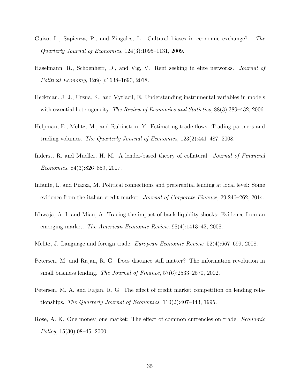- <span id="page-35-1"></span>Guiso, L., Sapienza, P., and Zingales, L. Cultural biases in economic exchange? The Quarterly Journal of Economics, 124(3):1095–1131, 2009.
- <span id="page-35-2"></span>Haselmann, R., Schoenherr, D., and Vig, V. Rent seeking in elite networks. Journal of Political Economy, 126(4):1638–1690, 2018.
- <span id="page-35-9"></span>Heckman, J. J., Urzua, S., and Vytlacil, E. Understanding instrumental variables in models with essential heterogeneity. The Review of Economics and Statistics, 88(3):389–432, 2006.
- <span id="page-35-6"></span>Helpman, E., Melitz, M., and Rubinstein, Y. Estimating trade flows: Trading partners and trading volumes. The Quarterly Journal of Economics, 123(2):441–487, 2008.
- <span id="page-35-10"></span>Inderst, R. and Mueller, H. M. A lender-based theory of collateral. *Journal of Financial* Economics, 84(3):826–859, 2007.
- <span id="page-35-7"></span>Infante, L. and Piazza, M. Political connections and preferential lending at local level: Some evidence from the italian credit market. Journal of Corporate Finance, 29:246–262, 2014.
- <span id="page-35-8"></span>Khwaja, A. I. and Mian, A. Tracing the impact of bank liquidity shocks: Evidence from an emerging market. The American Economic Review, 98(4):1413–42, 2008.
- <span id="page-35-0"></span>Melitz, J. Language and foreign trade. European Economic Review, 52(4):667–699, 2008.
- <span id="page-35-3"></span>Petersen, M. and Rajan, R. G. Does distance still matter? The information revolution in small business lending. The Journal of Finance, 57(6):2533–2570, 2002.
- <span id="page-35-4"></span>Petersen, M. A. and Rajan, R. G. The effect of credit market competition on lending relationships. The Quarterly Journal of Economics, 110(2):407–443, 1995.
- <span id="page-35-5"></span>Rose, A. K. One money, one market: The effect of common currencies on trade. *Economic* Policy, 15(30):08–45, 2000.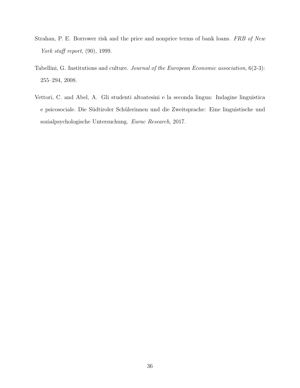- <span id="page-36-1"></span>Strahan, P. E. Borrower risk and the price and nonprice terms of bank loans. FRB of New York staff report, (90), 1999.
- <span id="page-36-0"></span>Tabellini, G. Institutions and culture. Journal of the European Economic association, 6(2-3): 255–294, 2008.
- <span id="page-36-2"></span>Vettori, C. and Abel, A. Gli studenti altoatesini e la seconda lingua: Indagine linguistica e psicosociale. Die Südtiroler Schülerinnen und die Zweitsprache: Eine linguistische und sozialpsychologische Untersuchung. Eurac Research, 2017.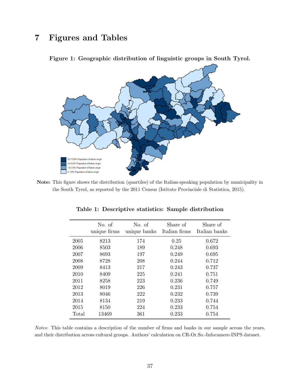# 7 Figures and Tables



<span id="page-37-0"></span>Figure 1: Geographic distribution of linguistic groups in South Tyrol.

<span id="page-37-1"></span>Note: This figure shows the distribution (quartiles) of the Italian-speaking population by municipality in the South Tyrol, as reported by the 2011 Census (Istituto Provinciale di Statistica, 2015).

|       | No. of<br>unique firms | No. of<br>unique banks | Share of<br>Italian firms | Share of<br>Italian banks |
|-------|------------------------|------------------------|---------------------------|---------------------------|
| 2005  | 8213                   | 174                    | 0.25                      | 0.672                     |
| 2006  | 8503                   | 189                    | 0.248                     | 0.693                     |
| 2007  | 8693                   | 197                    | 0.249                     | 0.695                     |
| 2008  | 8728                   | 208                    | 0.244                     | 0.712                     |
| 2009  | 8413                   | 217                    | 0.243                     | 0.737                     |
| 2010  | 8409                   | 225                    | 0.241                     | 0.751                     |
| 2011  | 8258                   | 223                    | 0.236                     | 0.749                     |
| 2012  | 8019                   | 226                    | 0.231                     | 0.757                     |
| 2013  | 8046                   | 222                    | 0.232                     | 0.739                     |
| 2014  | 8134                   | 219                    | 0.233                     | 0.744                     |
| 2015  | 8150                   | 224                    | 0.233                     | 0.754                     |
| Total | 13469                  | 361                    | 0.233                     | 0.754                     |
|       |                        |                        |                           |                           |

Table 1: Descriptive statistics: Sample distribution

Notes: This table contains a description of the number of firms and banks in our sample across the years, and their distribution across cultural groups. Authors' calculation on CR-Or.So.-Infocamere-INPS dataset.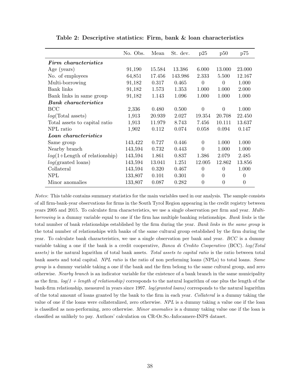<span id="page-38-0"></span>

|                                 | No. Obs. | Mean   | St. dev. | p25            | p50      | p75      |
|---------------------------------|----------|--------|----------|----------------|----------|----------|
| Firm characteristics            |          |        |          |                |          |          |
| Age (years)                     | 91,190   | 15.584 | 13.386   | 6.000          | 13.000   | 23.000   |
| No. of employees                | 64,851   | 17.456 | 143.986  | 2.333          | 5.500    | 12.167   |
| Multi-borrowing                 | 91,182   | 0.317  | 0.465    | $\Omega$       | $\theta$ | 1.000    |
| <b>Bank</b> links               | 91,182   | 1.573  | 1.353    | 1.000          | 1.000    | 2.000    |
| Bank links in same group        | 91,182   | 1.143  | 1.096    | 1.000          | 1.000    | 1.000    |
| <b>Bank</b> characteristics     |          |        |          |                |          |          |
| <b>BCC</b>                      | 2,336    | 0.480  | 0.500    | $\Omega$       | $\Omega$ | 1.000    |
| $log(Total$ assets)             | 1,913    | 20.939 | 2.027    | 19.354         | 20.708   | 22.450   |
| Total assets to capital ratio   | 1,913    | 11.979 | 8.743    | 7.456          | 10.111   | 13.637   |
| NPL ratio                       | 1,902    | 0.112  | 0.074    | 0.058          | 0.094    | 0.147    |
| Loan characteristics            |          |        |          |                |          |          |
| Same group                      | 143,422  | 0.727  | 0.446    | $\Omega$       | 1.000    | 1.000    |
| Nearby branch                   | 143,594  | 0.732  | 0.443    | $\Omega$       | 1.000    | 1.000    |
| $log(1+Length of relationship)$ | 143,594  | 1.861  | 0.837    | 1.386          | 2.079    | 2.485    |
| $log(\text{granted loans})$     | 143,594  | 13.041 | 1.251    | 12.005         | 12.862   | 13.856   |
| Collateral                      | 143,594  | 0.320  | 0.467    | $\overline{0}$ | $\Omega$ | 1.000    |
| NPL                             | 133,807  | 0.101  | 0.301    | $\Omega$       | $\Omega$ | $\Omega$ |
| Minor anomalies                 | 133,807  | 0.087  | 0.282    | $\overline{0}$ | $\theta$ | 0        |

Table 2: Descriptive statistics: Firm, bank & loan characteristics

Notes: This table contains summary statistics for the main variables used in our analysis. The sample consists of all firm-bank-year observations for firms in the South Tyrol Region appearing in the credit registry between years 2005 and 2015. To calculate firm characteristics, we use a single observation per firm and year. Multiborrowing is a dummy variable equal to one if the firm has multiple banking relationships. Bank links is the total number of bank relationships established by the firm during the year. Bank links in the same group is the total number of relationships with banks of the same cultural group established by the firm during the year. To calculate bank characteristics, we use a single observation per bank and year. BCC is a dummy variable taking a one if the bank is a credit cooperative, Banca di Credito Cooperativo (BCC). log(Total assets) is the natural logarithm of total bank assets. Total assets to capital ratio is the ratio between total bank assets and total capital. NPL ratio is the ratio of non performing loans (NPLs) to total loans. Same group is a dummy variable taking a one if the bank and the firm belong to the same cultural group, and zero otherwise. Nearby branch is an indicator variable for the existence of a bank branch in the same municipality as the firm.  $log(1 + length of relationship)$  corresponds to the natural logarithm of one plus the length of the bank-firm relationship, measured in years since 1997. log(granted loans) corresponds to the natural logarithm of the total amount of loans granted by the bank to the firm in each year. Collateral is a dummy taking the value of one if the loans were collateralized, zero otherwise. NPL is a dummy taking a value one if the loan is classified as non-performing, zero otherwise. Minor anomalies is a dummy taking value one if the loan is classified as unlikely to pay. Authors' calculation on CR-Or.So.-Infocamere-INPS dataset.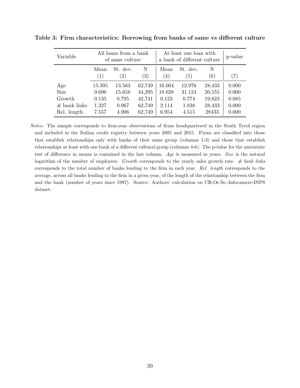| Variable                                                      | All loans from a bank<br>of same culture   |                                             |                                                | At least one loan with<br>a bank of different culture |                                             |                                               | p-value                                   |
|---------------------------------------------------------------|--------------------------------------------|---------------------------------------------|------------------------------------------------|-------------------------------------------------------|---------------------------------------------|-----------------------------------------------|-------------------------------------------|
|                                                               | Mean<br>$\left( 1\right)$                  | St. dev.<br>$\left( 2\right)$               | N<br>$\left( 3\right)$                         | Mean<br>$\left( 4\right)$                             | St. dev.<br>(5)                             | N<br>(6)                                      | $\left( 7\right)$                         |
| Age<br><b>Size</b><br>Growth<br>$#$ bank links<br>Rel. length | 15.395<br>9.696<br>0.135<br>1.327<br>7.557 | 13.563<br>15.658<br>0.795<br>0.967<br>4.906 | 62,749<br>44,295<br>42,741<br>62,749<br>62,749 | 16.004<br>18.028<br>0.123<br>2.114<br>6.954           | 12.976<br>31.124<br>0.774<br>1.838<br>4.515 | 28,433<br>20,555<br>19,823<br>28,433<br>28433 | 0.000<br>0.000<br>0.085<br>0.000<br>0.000 |

<span id="page-39-0"></span>Table 3: Firm characteristics: Borrowing from banks of same vs different culture

Notes: The sample corresponds to firm-year observations of firms headquartered in the South Tyrol region and included in the Italian credit registry between years 2005 and 2015. Firms are classified into those that establish relationships only with banks of their same group (columns 1-3) and those that establish relationships at least with one bank of a different cultural group (columns 4-6). The p-value for the univariate test of difference in means is contained in the last column. Age is measured in years. Size is the natural logarithm of the number of employees. Growth corresponds to the yearly sales growth rate.  $\# bank$  links corresponds to the total number of banks lending to the firm in each year. Rel. length corresponds to the average, across all banks lending to the firm in a given year, of the length of the relationship between the firm and the bank (number of years since 1997). Source: Authors' calculation on CR-Or.So.-Infocamere-INPS dataset.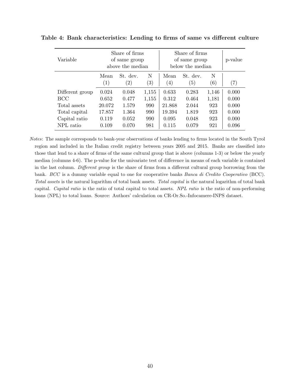| Variable                                                                                     | Share of firms<br>of same group<br>above the median  |                                                    |                                            | Share of firms<br>of same group<br>below the median  |                                                    |                                            | p-value                                            |
|----------------------------------------------------------------------------------------------|------------------------------------------------------|----------------------------------------------------|--------------------------------------------|------------------------------------------------------|----------------------------------------------------|--------------------------------------------|----------------------------------------------------|
|                                                                                              | Mean<br>(1)                                          | St. dev.<br>$\left( 2\right)$                      | N<br>$\left( 3\right)$                     | Mean<br>$\left( 4\right)$                            | St. dev.<br>(5)                                    | N<br>(6)                                   | (7)                                                |
| Different group<br><b>BCC</b><br>Total assets<br>Total capital<br>Capital ratio<br>NPL ratio | 0.024<br>0.652<br>20.072<br>17.857<br>0.119<br>0.109 | 0.048<br>0.477<br>1.579<br>1.364<br>0.052<br>0.070 | 1,155<br>1,155<br>990<br>990<br>990<br>981 | 0.633<br>0.312<br>21.868<br>19.394<br>0.095<br>0.115 | 0.283<br>0.464<br>2.044<br>1.819<br>0.048<br>0.079 | 1,146<br>1,181<br>923<br>923<br>923<br>921 | 0.000<br>0.000<br>0.000<br>0.000<br>0.000<br>0.096 |

<span id="page-40-0"></span>Table 4: Bank characteristics: Lending to firms of same vs different culture

Notes: The sample corresponds to bank-year observations of banks lending to firms located in the South Tyrol region and included in the Italian credit registry between years 2005 and 2015. Banks are classified into those that lend to a share of firms of the same cultural group that is above (columns 1-3) or below the yearly median (columns 4-6). The p-value for the univariate test of difference in means of each variable is contained in the last column. Different group is the share of firms from a different cultural group borrowing from the bank. BCC is a dummy variable equal to one for cooperative banks Banca di Credito Cooperativo (BCC). Total assets is the natural logarithm of total bank assets. Total capital is the natural logarithm of total bank capital. Capital ratio is the ratio of total capital to total assets. NPL ratio is the ratio of non-performing loans (NPL) to total loans. Source: Authors' calculation on CR-Or.So.-Infocamere-INPS dataset.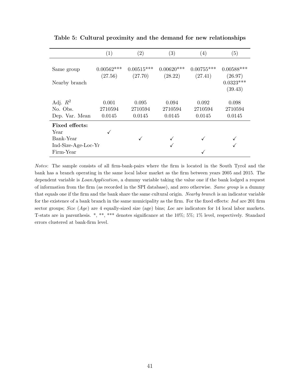|                                                                                | (1)                        | $\left( 2\right)$          | (3)                        | $\left( 4\right)$          | $\left( 5\right)$                                 |
|--------------------------------------------------------------------------------|----------------------------|----------------------------|----------------------------|----------------------------|---------------------------------------------------|
| Same group<br>Nearby branch                                                    | $0.00562***$<br>(27.56)    | $0.00515***$<br>(27.70)    | $0.00620***$<br>(28.22)    | $0.00755***$<br>(27.41)    | $0.00588***$<br>(26.97)<br>$0.0323***$<br>(39.43) |
| Adj. $R^2$<br>No. Obs.<br>Dep. Var. Mean                                       | 0.001<br>2710594<br>0.0145 | 0.095<br>2710594<br>0.0145 | 0.094<br>2710594<br>0.0145 | 0.092<br>2710594<br>0.0145 | 0.098<br>2710594<br>0.0145                        |
| <b>Fixed effects:</b><br>Year<br>Bank-Year<br>Ind-Size-Age-Loc-Yr<br>Firm-Year |                            |                            |                            |                            |                                                   |

<span id="page-41-0"></span>Table 5: Cultural proximity and the demand for new relationships

Notes: The sample consists of all firm-bank-pairs where the firm is located in the South Tyrol and the bank has a branch operating in the same local labor market as the firm between years 2005 and 2015. The dependent variable is LoanApplication, a dummy variable taking the value one if the bank lodged a request of information from the firm (as recorded in the SPI database), and zero otherwise. Same group is a dummy that equals one if the firm and the bank share the same cultural origin. Nearby branch is an indicator variable for the existence of a bank branch in the same municipality as the firm. For the fixed effects: Ind are 201 firm sector groups; Size (Age) are 4 equally-sized size (age) bins; Loc are indicators for 14 local labor markets. T-stats are in parenthesis. \*, \*\*, \*\*\* denotes significance at the 10%; 5%; 1% level, respectively. Standard errors clustered at bank-firm level.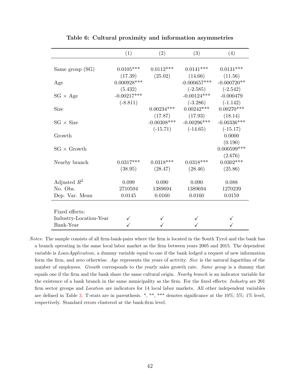<span id="page-42-0"></span>

|                        | (1)           | (2)           | (3)            | (4)           |
|------------------------|---------------|---------------|----------------|---------------|
|                        |               |               |                |               |
| Same group (SG)        | $0.0105***$   | $0.0112***$   | $0.0141***$    | $0.0131***$   |
|                        | (17.39)       | (25.02)       | (14.66)        | (11.56)       |
| Age                    | $0.000928***$ |               | $-0.000657***$ | $-0.000720**$ |
|                        | (5.432)       |               | $(-2.585)$     | $(-2.542)$    |
| $SG \times Age$        | $-0.00217***$ |               | $-0.00124***$  | $-0.000479$   |
|                        | $(-8.811)$    |               | $(-3.286)$     | $(-1.142)$    |
| Size                   |               | $0.00234***$  | $0.00242***$   | $0.00270***$  |
|                        |               | (17.87)       | (17.93)        | (18.14)       |
| $SG \times Size$       |               | $-0.00308***$ | $-0.00296***$  | $-0.00336***$ |
|                        |               | $(-15.71)$    | $(-14.65)$     | $(-15.17)$    |
| Growth                 |               |               |                | 0.0000        |
|                        |               |               |                | (0.190)       |
| $SG \times Growth$     |               |               |                | $0.000599***$ |
|                        |               |               |                | (2.676)       |
| Nearby branch          | $0.0317***$   | $0.0318***$   | $0.0318***$    | $0.0302***$   |
|                        | (38.95)       | (28.47)       | (28.46)        | (25.86)       |
| Adjusted $R^2$         | 0.099         | 0.090         | 0.090          | 0.088         |
| No. Obs.               | 2710594       | 1389694       | 1389694        | 1270239       |
| Dep. Var. Mean         | 0.0145        | 0.0160        | 0.0160         | 0.0159        |
|                        |               |               |                |               |
| Fixed effects:         |               |               |                |               |
| Industry-Location-Year |               |               |                |               |
| Bank-Year              |               |               |                |               |
|                        |               |               |                |               |

Table 6: Cultural proximity and information asymmetries

Notes: The sample consists of all firm-bank-pairs where the firm is located in the South Tyrol and the bank has a branch operating in the same local labor market as the firm between years 2005 and 2015. The dependent variable is LoanApplication, a dummy variable equal to one if the bank lodged a request of new information form the firm, and zero otherwise. Age represents the years of activity. Size is the natural logarithm of the number of employees. Growth corresponds to the yearly sales growth rate. Same group is a dummy that equals one if the firm and the bank share the same cultural origin. Nearby branch is an indicator variable for the existence of a bank branch in the same municipality as the firm. For the fixed effects: Industry are 201 firm sector groups and Location are indicators for 14 local labor markets. All other independent variables are defined in Table [3.](#page-39-0) T-stats are in parenthesis. \*, \*\*, \*\*\* denotes significance at the 10%; 5%; 1% level, respectively. Standard errors clustered at the bank-firm level.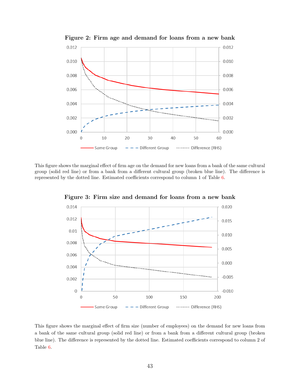

<span id="page-43-0"></span>Figure 2: Firm age and demand for loans from a new bank

<span id="page-43-1"></span>This figure shows the marginal effect of firm age on the demand for new loans from a bank of the same cultural group (solid red line) or from a bank from a different cultural group (broken blue line). The difference is represented by the dotted line. Estimated coefficients correspond to column 1 of Table [6.](#page-42-0)



Figure 3: Firm size and demand for loans from a new bank

This figure shows the marginal effect of firm size (number of employees) on the demand for new loans from a bank of the same cultural group (solid red line) or from a bank from a different cultural group (broken blue line). The difference is represented by the dotted line. Estimated coefficients correspond to column 2 of Table [6.](#page-42-0)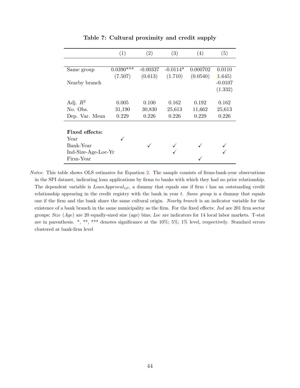<span id="page-44-0"></span>

|                       | (1)         | (2)        | (3)        | (4)      | (5)       |
|-----------------------|-------------|------------|------------|----------|-----------|
|                       |             |            |            |          |           |
| Same group            | $0.0390***$ | $-0.00337$ | $-0.0114*$ | 0.000702 | 0.0110    |
|                       | (7.507)     | (0.613)    | (1.710)    | (0.0540) | 1.645)    |
| Nearby branch         |             |            |            |          | $-0.0107$ |
|                       |             |            |            |          | (1.332)   |
|                       |             |            |            |          |           |
| Adj. $R^2$            | 0.005       | 0.100      | 0.162      | 0.192    | 0.162     |
| No. Obs.              | 31,190      | 30,830     | 25,613     | 11,662   | 25,613    |
| Dep. Var. Mean        | 0.229       | 0.226      | 0.226      | 0.229    | 0.226     |
|                       |             |            |            |          |           |
| <b>Fixed effects:</b> |             |            |            |          |           |
| Year                  |             |            |            |          |           |
| Bank-Year             |             |            |            |          |           |
| Ind-Size-Age-Loc-Yr   |             |            |            |          |           |
| Firm-Year             |             |            |            |          |           |

Table 7: Cultural proximity and credit supply

Notes: This table shows OLS estimates for Equation [2.](#page-21-0) The sample consists of firms-bank-year observations in the SPI dataset, indicating loan applications by firms to banks with which they had no prior relationship. The dependent variable is  $LoanApproxality$ , a dummy that equals one if firm i has an outstanding credit relationship appearing in the credit registry with the bank in year  $t$ . Same group is a dummy that equals one if the firm and the bank share the same cultural origin. Nearby branch is an indicator variable for the existence of a bank branch in the same municipality as the firm. For the fixed effects: Ind are 201 firm sector groups; Size (Age) are 20 equally-sized size (age) bins; Loc are indicators for 14 local labor markets. T-stat are in parenthesis. \*, \*\*, \*\*\* denotes significance at the 10%; 5%; 1% level, respectively. Standard errors clustered at bank-firm level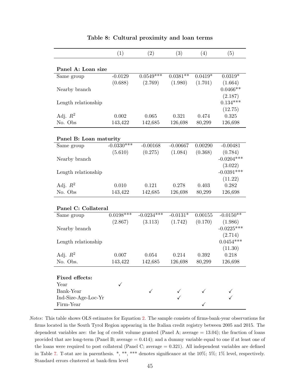<span id="page-45-0"></span>

|                        | (1)          | (2)          | (3)        | (4)       | (5)          |
|------------------------|--------------|--------------|------------|-----------|--------------|
| Panel A: Loan size     |              |              |            |           |              |
| Same group             | $-0.0129$    | $0.0549***$  | $0.0381**$ | $0.0419*$ | $0.0319*$    |
|                        | (0.688)      | (2.769)      | (1.980)    | (1.701)   | (1.664)      |
| Nearby branch          |              |              |            |           | $0.0466**$   |
|                        |              |              |            |           | (2.187)      |
| Length relationship    |              |              |            |           | $0.134***$   |
|                        |              |              |            |           | (12.75)      |
| Adj. $R^2$             | 0.002        | 0.065        | 0.321      | 0.474     | 0.325        |
| No. Obs                | 143,422      | 142,685      | 126,698    | 80,299    | 126,698      |
|                        |              |              |            |           |              |
| Panel B: Loan maturity |              |              |            |           |              |
| Same group             | $-0.0330***$ | $-0.00168$   | $-0.00667$ | 0.00290   | $-0.00481$   |
|                        | (5.610)      | (0.275)      | (1.084)    | (0.368)   | (0.784)      |
| Nearby branch          |              |              |            |           | $-0.0204***$ |
|                        |              |              |            |           | (3.022)      |
| Length relationship    |              |              |            |           | $-0.0391***$ |
|                        |              |              |            |           | (11.22)      |
| Adj. $R^2$             | 0.010        | 0.121        | 0.278      | 0.403     | 0.282        |
| No. Obs                | 143,422      | 142,685      | 126,698    | 80,299    | 126,698      |
|                        |              |              |            |           |              |
| Panel C: Collateral    |              |              |            |           |              |
| Same group             | $0.0198***$  | $-0.0234***$ | $-0.0131*$ | 0.00155   | $-0.0150**$  |
|                        | (2.867)      | (3.113)      | (1.742)    | (0.170)   | (1.986)      |
| Nearby branch          |              |              |            |           | $-0.0225***$ |
|                        |              |              |            |           | (2.714)      |
| Length relationship    |              |              |            |           | $0.0454***$  |
|                        |              |              |            |           | (11.30)      |
| Adj. $R^2$             | 0.007        | 0.054        | 0.214      | 0.392     | 0.218        |
| No. Obs.               | 143,422      | 142,685      | 126,698    | 80,299    | 126,698      |
|                        |              |              |            |           |              |
| Fixed effects:         |              |              |            |           |              |
| Year                   |              |              |            |           |              |
| Bank-Year              |              |              |            |           |              |
| Ind-Size-Age-Loc-Yr    |              |              |            |           |              |
| Firm-Year              |              |              |            |           |              |

#### Table 8: Cultural proximity and loan terms

Notes: This table shows OLS estimates for Equation [2.](#page-21-0) The sample consists of firms-bank-year observations for firms located in the South Tyrol Region appearing in the Italian credit registry between 2005 and 2015. The dependent variables are: the log of credit volume granted (Panel A; average  $= 13.04$ ); the fraction of loans provided that are long-term (Panel B; average = 0.414); and a dummy variable equal to one if at least one of the loans were required to post collateral (Panel C; average = 0.321). All independent variables are defined in Table [7.](#page-44-0) T-stat are in parenthesis. \*, \*\*, \*\*\* denotes significance at the 10%; 5%; 1% level, respectively. Standard errors clustered at bank-firm level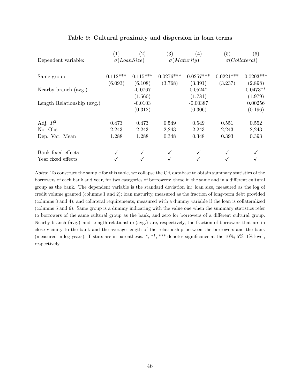<span id="page-46-0"></span>

|                            | (1)        | $\left( 2\right)$   | (3)         | $\left( 4\right)$  | (5)         | (6)                   |
|----------------------------|------------|---------------------|-------------|--------------------|-------------|-----------------------|
| Dependent variable:        |            | $\sigma (Loansize)$ |             | $\sigma(Maturity)$ |             | $\sigma$ (Collateral) |
|                            |            |                     |             |                    |             |                       |
| Same group                 | $0.112***$ | $0.115***$          | $0.0276***$ | $0.0257***$        | $0.0221***$ | $0.0203***$           |
|                            | (6.093)    | (6.108)             | (3.768)     | (3.391)            | (3.237)     | (2.898)               |
| Nearby branch (avg.)       |            | $-0.0767$           |             | $0.0524*$          |             | $0.0473**$            |
|                            |            | (1.560)             |             | (1.781)            |             | (1.979)               |
| Length Relationship (avg.) |            | $-0.0103$           |             | $-0.00387$         |             | 0.00256               |
|                            |            | (0.312)             |             | (0.306)            |             | (0.196)               |
| Adj. $R^2$                 | 0.473      | 0.473               | 0.549       | 0.549              | 0.551       | 0.552                 |
| No. Obs                    | 2,243      | 2,243               | 2,243       | 2,243              | 2,243       | 2,243                 |
| Dep. Var. Mean             | 1.288      | 1.288               | 0.348       | 0.348              | 0.393       | 0.393                 |
|                            |            |                     |             |                    |             |                       |
| Bank fixed effects         |            |                     |             |                    |             |                       |
| Year fixed effects         |            |                     |             |                    |             |                       |

#### Table 9: Cultural proximity and dispersion in loan terms

Notes: To construct the sample for this table, we collapse the CR database to obtain summary statistics of the borrowers of each bank and year, for two categories of borrowers: those in the same and in a different cultural group as the bank. The dependent variable is the standard deviation in: loan size, measured as the log of credit volume granted (columns 1 and 2); loan maturity, measured as the fraction of long-term debt provided (columns 3 and 4); and collateral requirements, measured with a dummy variable if the loan is collateralized (columns 5 and 6). Same group is a dummy indicating with the value one when the summary statistics refer to borrowers of the same cultural group as the bank, and zero for borrowers of a different cultural group. Nearby branch (avg.) and Length relationship (avg.) are, respectively, the fraction of borrowers that are in close vicinity to the bank and the average length of the relationship between the borrowers and the bank (measured in log years). T-stats are in parenthesis. \*, \*\*, \*\*\* denotes significance at the 10%; 5%; 1% level, respectively.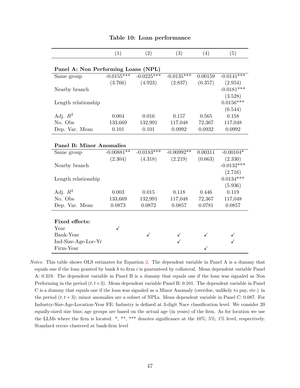<span id="page-47-0"></span>

|                                     | (1)          | (2)          | (3)          | (4)     | (5)          |
|-------------------------------------|--------------|--------------|--------------|---------|--------------|
|                                     |              |              |              |         |              |
| Panel A: Non Performing Loans (NPL) |              |              |              |         |              |
| Same group                          | $-0.0155***$ | $-0.0225***$ | $-0.0135***$ | 0.00159 | $-0.0141***$ |
|                                     | (3.766)      | (4.923)      | (2.837)      | (0.357) | (2.954)      |
| Nearby branch                       |              |              |              |         | $-0.0181***$ |
|                                     |              |              |              |         | (3.528)      |
| Length relationship                 |              |              |              |         | $0.0156***$  |
|                                     |              |              |              |         | (6.544)      |
| Adj. $R^2$                          | 0.004        | 0.016        | 0.157        | 0.565   | 0.158        |
| No. Obs                             | 133,669      | 132,991      | 117,048      | 72,367  | 117,048      |
| Dep. Var. Mean                      | 0.101        | 0.101        | 0.0992       | 0.0932  | 0.0992       |
|                                     |              |              |              |         |              |
| <b>Panel B: Minor Anomalies</b>     |              |              |              |         |              |
| Same group                          | $-0.00881**$ | $-0.0183***$ | $-0.00992**$ | 0.00311 | $-0.00104*$  |
|                                     | (2.304)      | (4.318)      | (2.219)      | (0.663) | (2.330)      |
| Nearby branch                       |              |              |              |         | $-0.0132***$ |
|                                     |              |              |              |         | (2.716)      |
| Length relationship                 |              |              |              |         | $0.0134***$  |
|                                     |              |              |              |         | (5.936)      |
| Adj. $R^2$                          | 0.003        | 0.015        | 0.118        | 0.446   | 0.119        |
| No. Obs                             | 133,669      | 132,991      | 117,048      | 72,367  | 117,048      |
| Dep. Var. Mean                      | 0.0873       | 0.0872       | 0.0857       | 0.0781  | 0.0857       |
|                                     |              |              |              |         |              |
| Fixed effects:                      |              |              |              |         |              |
| Year                                | ✓            |              |              |         |              |
| Bank-Year                           |              | $\checkmark$ |              |         |              |
| Ind-Size-Age-Loc-Yr                 |              |              |              |         |              |
| Firm-Year                           |              |              |              |         |              |

#### Table 10: Loan performance

Notes: This table shows OLS estimates for Equation [2.](#page-21-0) The dependent variable in Panel A is a dummy that equals one if the loan granted by bank  $b$  to firm  $i$  is guaranteed by collateral. Mean dependent variable Panel A: 0.319. The dependent variable in Panel B is a dummy that equals one if the loan was signaled as Non Performing in the period  $(t, t+3)$ . Mean dependent variable Panel B: 0.101. The dependent variable in Panel C is a dummy that equals one if the loan was signaled as a Minor Anomaly (overdue, unlikely to pay, etc.) in the period  $(t, t + 3)$ ; minor anomalies are a subset of NPLs. Mean dependent variable in Panel C: 0.087. For Industry-Size-Age-Location-Year FE: Industry is defined at 3-digit Nace classification level. We consider 20 equally-sized size bins; age groups are based on the actual age (in years) of the firm. As for location we use the LLMs where the firm is located. \*, \*\*, \*\*\* denotes significance at the 10%; 5%; 1% level, respectively. Standard errors clustered at bank-firm level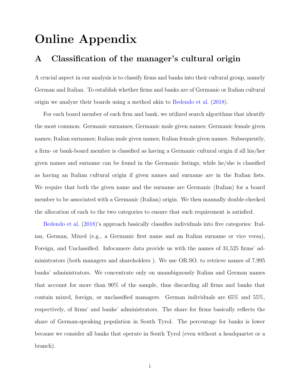# Online Appendix

## <span id="page-48-0"></span>A Classification of the manager's cultural origin

A crucial aspect in our analysis is to classify firms and banks into their cultural group, namely German and Italian. To establish whether firms and banks are of Germanic or Italian cultural origin we analyze their boards using a method akin to [Bedendo et al.](#page-32-6) [\(2018\)](#page-32-6).

For each board member of each firm and bank, we utilized search algorithms that identify the most common: Germanic surnames; Germanic male given names; Germanic female given names; Italian surnames; Italian male given names; Italian female given names. Subsequently, a firm- or bank-board member is classified as having a Germanic cultural origin if all his/her given names and surname can be found in the Germanic listings, while he/she is classified as having an Italian cultural origin if given names and surname are in the Italian lists. We require that both the given name and the surname are Germanic (Italian) for a board member to be associated with a Germanic (Italian) origin. We then manually double-checked the allocation of each to the two categories to ensure that such requirement is satisfied.

[Bedendo et al.](#page-32-6) [\(2018\)](#page-32-6)'s approach basically classifies individuals into five categories: Italian, German, Mixed (e.g., a Germanic first name and an Italian surname or vice versa), Foreign, and Unclassified. Infocamere data provide us with the names of 31,525 firms' administrators (both managers and shareholders ). We use OR.SO. to retrieve names of 7,995 banks' administrators. We concentrate only on unambiguously Italian and German names that account for more than 90% of the sample, thus discarding all firms and banks that contain mixed, foreign, or unclassified managers. German individuals are 65% and 55%, respectively, of firms' and banks' administrators. The share for firms basically reflects the share of German-speaking population in South Tyrol. The percentage for banks is lower because we consider all banks that operate in South Tyrol (even without a headquarter or a branch).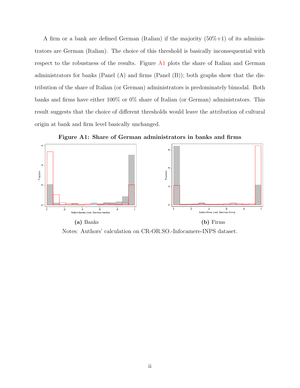A firm or a bank are defined German (Italian) if the majority  $(50\% + 1)$  of its administrators are German (Italian). The choice of this threshold is basically inconsequential with respect to the robustness of the results. Figure [A1](#page-49-0) plots the share of Italian and German administrators for banks (Panel (A) and firms (Panel (B)); both graphs show that the distribution of the share of Italian (or German) administrators is predominately bimodal. Both banks and firms have either 100% or 0% share of Italian (or German) administrators. This result suggests that the choice of different thresholds would leave the attribution of cultural origin at bank and firm level basically unchanged.

<span id="page-49-0"></span>

Figure A1: Share of German administrators in banks and firms

Notes: Authors' calculation on CR-OR.SO.-Infocamere-INPS dataset.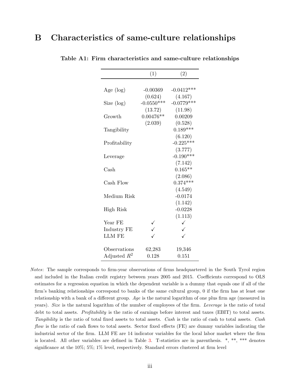## <span id="page-50-1"></span><span id="page-50-0"></span>B Characteristics of same-culture relationships

|                       | (1)          | (2)          |
|-----------------------|--------------|--------------|
|                       |              |              |
| Age $(\log)$          | $-0.00369$   | $-0.0412***$ |
|                       | (0.624)      | (4.167)      |
| Size (log)            | $-0.0550***$ | $-0.0779***$ |
|                       | (13.72)      | (11.98)      |
| Growth                | $0.00476**$  | 0.00209      |
|                       | (2.039)      | (0.528)      |
| Tangibility           |              | $0.189***$   |
|                       |              | (6.120)      |
| Profitability         |              | $-0.225***$  |
|                       |              | (3.777)      |
| Leverage              |              | $-0.190***$  |
|                       |              | (7.142)      |
| $\operatorname{Cash}$ |              | $0.165**$    |
|                       |              | (2.086)      |
| Cash Flow             |              | $0.374***$   |
|                       |              | (4.549)      |
| Medium Risk           |              | $-0.0174$    |
|                       |              | (1.142)      |
| High Risk             |              | $-0.0228$    |
|                       |              | (1.113)      |
| Year FE               |              | $\checkmark$ |
| Industry FE           | $\checkmark$ |              |
| <b>LLM FE</b>         |              |              |
|                       |              |              |
| Observations          | 62,283       | $19{,}346$   |
| Adjusted $R^2$        | 0.128        | 0.151        |

Table A1: Firm characteristics and same-culture relationships

Notes: The sample corresponds to firm-year observations of firms headquartered in the South Tyrol region and included in the Italian credit registry between years 2005 and 2015. Coefficients correspond to OLS estimates for a regression equation in which the dependent variable is a dummy that equals one if all of the firm's banking relationships correspond to banks of the same cultural group, 0 if the firm has at least one relationship with a bank of a different group. Age is the natural logarithm of one plus firm age (measured in years). Size is the natural logarithm of the number of employees of the firm. Leverage is the ratio of total debt to total assets. *Profitability* is the ratio of earnings before interest and taxes (EBIT) to total assets. Tangibility is the ratio of total fixed assets to total assets. Cash is the ratio of cash to total assets. Cash flow is the ratio of cash flows to total assets. Sector fixed effects (FE) are dummy variables indicating the industrial sector of the firm. LLM FE are 14 indicator variables for the local labor market where the firm is located. All other variables are defined in Table [3.](#page-39-0) T-statistics are in parenthesis. \*, \*\*, \*\*\* denotes significance at the 10%; 5%; 1% level, respectively. Standard errors clustered at firm level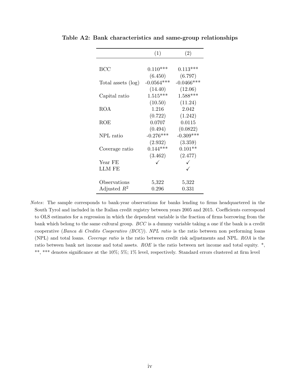|                    | (1)          | (2)           |
|--------------------|--------------|---------------|
|                    |              |               |
| <b>BCC</b>         | $0.110***$   | $0.113***$    |
|                    | (6.450)      | (6.797)       |
| Total assets (log) | $-0.0564***$ | $-0.0466$ *** |
|                    | (14.40)      | (12.06)       |
| Capital ratio      | $1.515***$   | $1.588***$    |
|                    | (10.50)      | (11.24)       |
| ROA                | 1.216        | 2.042         |
|                    | (0.722)      | (1.242)       |
| ROE                | 0.0707       | 0.0115        |
|                    | (0.494)      | (0.0822)      |
| NPL ratio          | $-0.276***$  | $-0.309***$   |
|                    | (2.932)      | (3.359)       |
| Coverage ratio     | $0.144***$   | $0.101**$     |
|                    | (3.462)      | (2.477)       |
| Year FE            | $\sqrt{ }$   |               |
| LLM FE             |              |               |
|                    |              |               |
| Observations       | 5,322        | 5,322         |
| Adjusted $R^2$     | 0.296        | 0.331         |

<span id="page-51-0"></span>Table A2: Bank characteristics and same-group relationships

Notes: The sample corresponds to bank-year observations for banks lending to firms headquartered in the South Tyrol and included in the Italian credit registry between years 2005 and 2015. Coefficients correspond to OLS estimates for a regression in which the dependent variable is the fraction of firms borrowing from the bank which belong to the same cultural group. BCC is a dummy variable taking a one if the bank is a credit cooperative (Banca di Credito Cooperativo (BCC)). NPL ratio is the ratio between non performing loans (NPL) and total loans. Coverage ratio is the ratio between credit risk adjustments and NPL. ROA is the ratio between bank net income and total assets. ROE is the ratio between net income and total equity. \*, \*\*, \*\*\* denotes significance at the 10%; 5%; 1% level, respectively. Standard errors clustered at firm level